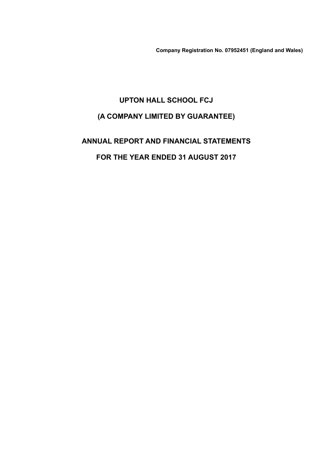**Company Registration No. 07952451 (England and Wales)**

# **UPTON HALL SCHOOL FCJ (A COMPANY LIMITED BY GUARANTEE)**

**ANNUAL REPORT AND FINANCIAL STATEMENTS FOR THE YEAR ENDED 31 AUGUST 2017**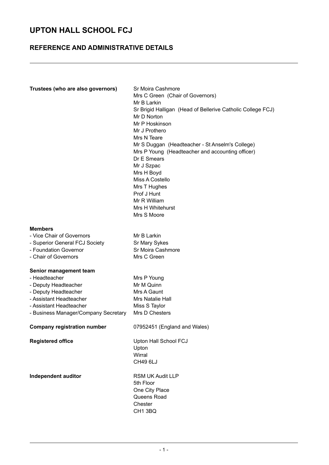### **REFERENCE AND ADMINISTRATIVE DETAILS**

| Trustees (who are also governors)                                                                                                                                                     | Sr Moira Cashmore<br>Mrs C Green (Chair of Governors)<br>Mr B Larkin<br>Sr Brigid Halligan (Head of Bellerive Catholic College FCJ)<br>Mr D Norton<br>Mr P Hoskinson<br>Mr J Prothero<br>Mrs N Teare<br>Mr S Duggan (Headteacher - St Anselm's College)<br>Mrs P Young (Headteacher and accounting officer)<br>Dr E Smears<br>Mr J Szpac<br>Mrs H Boyd<br>Miss A Costello<br>Mrs T Hughes<br>Prof J Hunt<br>Mr R William<br>Mrs H Whitehurst<br>Mrs S Moore |
|---------------------------------------------------------------------------------------------------------------------------------------------------------------------------------------|-------------------------------------------------------------------------------------------------------------------------------------------------------------------------------------------------------------------------------------------------------------------------------------------------------------------------------------------------------------------------------------------------------------------------------------------------------------|
| <b>Members</b><br>- Vice Chair of Governors<br>- Superior General FCJ Society<br>- Foundation Governor<br>- Chair of Governors                                                        | Mr B Larkin<br>Sr Mary Sykes<br>Sr Moira Cashmore<br>Mrs C Green                                                                                                                                                                                                                                                                                                                                                                                            |
| Senior management team<br>- Headteacher<br>- Deputy Headteacher<br>- Deputy Headteacher<br>- Assistant Headteacher<br>- Assistant Headteacher<br>- Business Manager/Company Secretary | Mrs P Young<br>Mr M Quinn<br>Mrs A Gaunt<br>Mrs Natalie Hall<br>Miss S Taylor<br>Mrs D Chesters                                                                                                                                                                                                                                                                                                                                                             |
| <b>Company registration number</b>                                                                                                                                                    | 07952451 (England and Wales)                                                                                                                                                                                                                                                                                                                                                                                                                                |
| <b>Registered office</b>                                                                                                                                                              | Upton Hall School FCJ<br>Upton<br>Wirral<br>CH49 6LJ                                                                                                                                                                                                                                                                                                                                                                                                        |
| Independent auditor                                                                                                                                                                   | <b>RSM UK Audit LLP</b><br>5th Floor<br>One City Place<br>Queens Road<br>Chester<br>CH1 3BQ                                                                                                                                                                                                                                                                                                                                                                 |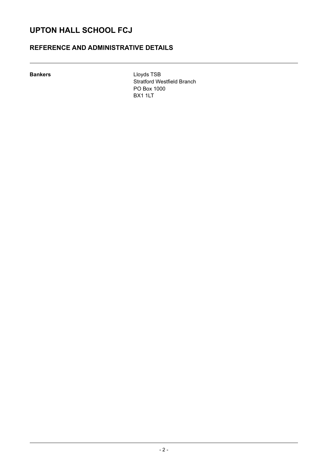### **REFERENCE AND ADMINISTRATIVE DETAILS**

**Bankers** Lloyds TSB Stratford Westfield Branch PO Box 1000 BX1 1LT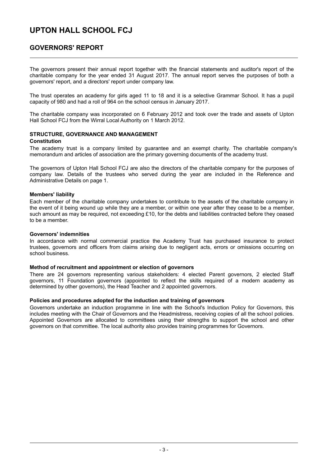### **GOVERNORS' REPORT**

The governors present their annual report together with the financial statements and auditor's report of the charitable company for the year ended 31 August 2017. The annual report serves the purposes of both a governors' report, and a directors' report under company law.

The trust operates an academy for girls aged 11 to 18 and it is a selective Grammar School. It has a pupil capacity of 980 and had a roll of 964 on the school census in January 2017.

The charitable company was incorporated on 6 February 2012 and took over the trade and assets of Upton Hall School FCJ from the Wirral Local Authority on 1 March 2012.

#### **STRUCTURE, GOVERNANCE AND MANAGEMENT Constitution**

The academy trust is a company limited by guarantee and an exempt charity. The charitable company's memorandum and articles of association are the primary governing documents of the academy trust.

The governors of Upton Hall School FCJ are also the directors of the charitable company for the purposes of company law. Details of the trustees who served during the year are included in the Reference and Administrative Details on page 1.

### **Members' liability**

Each member of the charitable company undertakes to contribute to the assets of the charitable company in the event of it being wound up while they are a member, or within one year after they cease to be a member, such amount as may be required, not exceeding £10, for the debts and liabilities contracted before they ceased to be a member.

### **Governors' indemnities**

In accordance with normal commercial practice the Academy Trust has purchased insurance to protect trustees, governors and officers from claims arising due to negligent acts, errors or omissions occurring on school business.

#### **Method of recruitment and appointment or election of governors**

There are 24 governors representing various stakeholders: 4 elected Parent governors, 2 elected Staff governors, 11 Foundation governors (appointed to reflect the skills required of a modern academy as determined by other governors), the Head Teacher and 2 appointed governors.

### **Policies and procedures adopted for the induction and training of governors**

Governors undertake an induction programme in line with the School's Induction Policy for Governors, this includes meeting with the Chair of Governors and the Headmistress, receiving copies of all the school policies. Appointed Governors are allocated to committees using their strengths to support the school and other governors on that committee. The local authority also provides training programmes for Governors.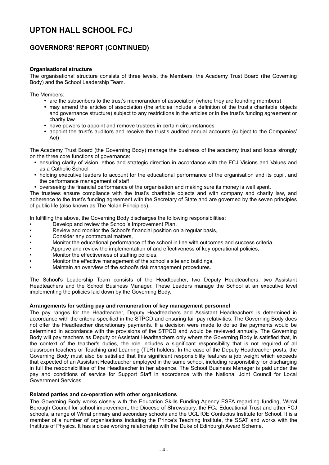### **GOVERNORS' REPORT (CONTINUED)**

### **Organisational structure**

The organisational structure consists of three levels, the Members, the Academy Trust Board (the Governing Body) and the School Leadership Team.

The Members:

- are the subscribers to the trust's memorandum of association (where they are founding members)
- may amend the articles of association (the articles include a definition of the trust's charitable objects and governance structure) subject to any restrictions in the articles or in the trust's funding agreement or charity law
- have powers to appoint and remove trustees in certain circumstances
- appoint the trust's auditors and receive the trust's audited annual accounts (subject to the Companies' Act)

The Academy Trust Board (the Governing Body) manage the business of the academy trust and focus strongly on the three core functions of governance:

- ensuring clarity of vision, ethos and strategic direction in accordance with the FCJ Visions and Values and as a Catholic School
- holding executive leaders to account for the educational performance of the organisation and its pupil, and the performance management of staff
- overseeing the financial performance of the organisation and making sure its money is well spent.

The trustees ensure compliance with the trust's charitable objects and with company and charity law, and adherence to the trust's funding agreement with the Secretary of State and are governed by the seven principles of public life (also known as The Nolan Principles).

In fulfilling the above, the Governing Body discharges the following responsibilities:

- Develop and review the School's Improvement Plan,
- Review and monitor the School's financial position on a regular basis,
- Consider any contractual matters,
- Monitor the educational performance of the school in line with outcomes and success criteria,
- Approve and review the implementation of and effectiveness of key operational policies,
- Monitor the effectiveness of staffing policies,
- Monitor the effective management of the school's site and buildings,
- Maintain an overview of the school's risk management procedures.

The School's Leadership Team consists of the Headteacher, two Deputy Headteachers, two Assistant Headteachers and the School Business Manager. These Leaders manage the School at an executive level implementing the policies laid down by the Governing Body.

#### **Arrangements for setting pay and remuneration of key management personnel**

The pay ranges for the Headteacher, Deputy Headteachers and Assistant Headteachers is determined in accordance with the criteria specified in the STPCD and ensuring fair pay relativities. The Governing Body does not offer the Headteacher discretionary payments. If a decision were made to do so the payments would be determined in accordance with the provisions of the STPCD and would be reviewed annually. The Governing Body will pay teachers as Deputy or Assistant Headteachers only where the Governing Body is satisfied that, in the context of the teacher's duties, the role includes a significant responsibility that is not required of all classroom teachers or Teaching and Learning (TLR) holders. In the case of the Deputy Headteacher posts, the Governing Body must also be satisfied that this significant responsibility features a job weight which exceeds that expected of an Assistant Headteacher employed in the same school, including responsibility for discharging in full the responsibilities of the Headteacher in her absence. The School Business Manager is paid under the pay and conditions of service for Support Staff in accordance with the National Joint Council for Local Government Services.

#### **Related parties and co-operation with other organisations**

The Governing Body works closely with the Education Skills Funding Agency ESFA regarding funding, Wirral Borough Council for school improvement, the Diocese of Shrewsbury, the FCJ Educational Trust and other FCJ schools, a range of Wirral primary and secondary schools and the UCL IOE Confucius Institute for School. It is a member of a number of organisations including the Prince's Teaching Institute, the SSAT and works with the Institute of Physics. It has a close working relationship with the Duke of Edinburgh Award Scheme.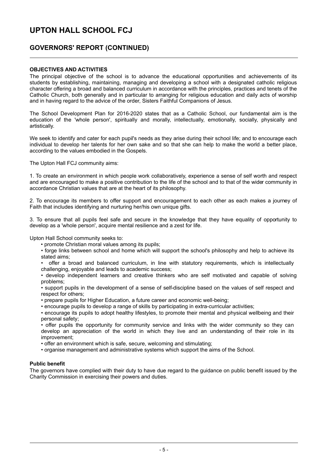### **GOVERNORS' REPORT (CONTINUED)**

### **OBJECTIVES AND ACTIVITIES**

The principal objective of the school is to advance the educational opportunities and achievements of its students by establishing, maintaining, managing and developing a school with a designated catholic religious character offering a broad and balanced curriculum in accordance with the principles, practices and tenets of the Catholic Church, both generally and in particular to arranging for religious education and daily acts of worship and in having regard to the advice of the order, Sisters Faithful Companions of Jesus.

The School Development Plan for 2016-2020 states that as a Catholic School, our fundamental aim is the education of the 'whole person', spiritually and morally, intellectually, emotionally, socially, physically and artistically.

We seek to identify and cater for each pupil's needs as they arise during their school life; and to encourage each individual to develop her talents for her own sake and so that she can help to make the world a better place, according to the values embodied in the Gospels.

The Upton Hall FCJ community aims:

1. To create an environment in which people work collaboratively, experience a sense of self worth and respect and are encouraged to make a positive contribution to the life of the school and to that of the wider community in accordance Christian values that are at the heart of its philosophy.

2. To encourage its members to offer support and encouragement to each other as each makes a journey of Faith that includes identifying and nurturing her/his own unique gifts.

3. To ensure that all pupils feel safe and secure in the knowledge that they have equality of opportunity to develop as a 'whole person', acquire mental resilience and a zest for life.

Upton Hall School community seeks to:

- promote Christian moral values among its pupils;
- forge links between school and home which will support the school's philosophy and help to achieve its stated aims;
- offer a broad and balanced curriculum, in line with statutory requirements, which is intellectually challenging, enjoyable and leads to academic success;

• develop independent learners and creative thinkers who are self motivated and capable of solving problems;

• support pupils in the development of a sense of self-discipline based on the values of self respect and respect for others;

- prepare pupils for Higher Education, a future career and economic well-being;
- encourage pupils to develop a range of skills by participating in extra-curricular activities;

• encourage its pupils to adopt healthy lifestyles, to promote their mental and physical wellbeing and their personal safety;

• offer pupils the opportunity for community service and links with the wider community so they can develop an appreciation of the world in which they live and an understanding of their role in its improvement;

• offer an environment which is safe, secure, welcoming and stimulating;

• organise management and administrative systems which support the aims of the School.

#### **Public benefit**

The governors have complied with their duty to have due regard to the guidance on public benefit issued by the Charity Commission in exercising their powers and duties.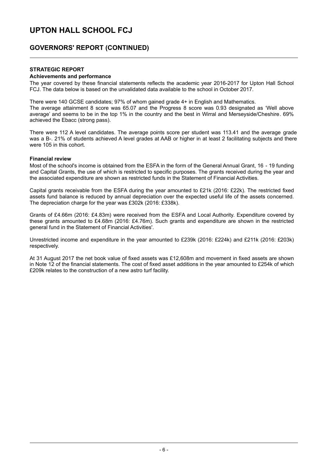### **GOVERNORS' REPORT (CONTINUED)**

### **STRATEGIC REPORT**

#### **Achievements and performance**

The year covered by these financial statements reflects the academic year 2016-2017 for Upton Hall School FCJ. The data below is based on the unvalidated data available to the school in October 2017.

There were 140 GCSE candidates; 97% of whom gained grade 4+ in English and Mathematics. The average attainment 8 score was 65.07 and the Progress 8 score was 0.93 designated as 'Well above average' and seems to be in the top 1% in the country and the best in Wirral and Merseyside/Cheshire. 69% achieved the Ebacc (strong pass).

There were 112 A level candidates. The average points score per student was 113.41 and the average grade was a B-. 21% of students achieved A level grades at AAB or higher in at least 2 facilitating subjects and there were 105 in this cohort.

#### **Financial review**

Most of the school's income is obtained from the ESFA in the form of the General Annual Grant, 16 - 19 funding and Capital Grants, the use of which is restricted to specific purposes. The grants received during the year and the associated expenditure are shown as restricted funds in the Statement of Financial Activities.

Capital grants receivable from the ESFA during the year amounted to £21k (2016: £22k). The restricted fixed assets fund balance is reduced by annual depreciation over the expected useful life of the assets concerned. The depreciation charge for the year was £302k (2016: £338k).

Grants of £4.66m (2016: £4.83m) were received from the ESFA and Local Authority. Expenditure covered by these grants amounted to £4.68m (2016: £4.76m). Such grants and expenditure are shown in the restricted general fund in the Statement of Financial Activities'.

Unrestricted income and expenditure in the year amounted to £239k (2016: £224k) and £211k (2016: £203k) respectively.

At 31 August 2017 the net book value of fixed assets was £12,608m and movement in fixed assets are shown in Note 12 of the financial statements. The cost of fixed asset additions in the year amounted to £254k of which £209k relates to the construction of a new astro turf facility.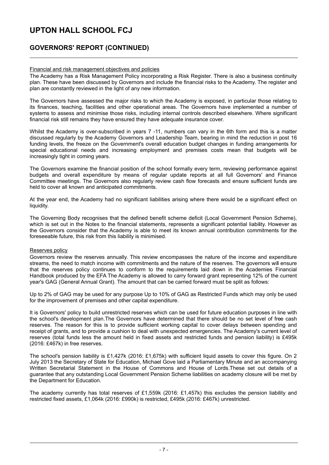### **GOVERNORS' REPORT (CONTINUED)**

### Financial and risk management objectives and policies

The Academy has a Risk Management Policy incorporating a Risk Register. There is also a business continuity plan. These have been discussed by Governors and include the financial risks to the Academy. The register and plan are constantly reviewed in the light of any new information.

The Governors have assessed the major risks to which the Academy is exposed, in particular those relating to its finances, teaching, facilities and other operational areas. The Governors have implemented a number of systems to assess and minimise those risks, including internal controls described elsewhere. Where significant financial risk still remains they have ensured they have adequate insurance cover.

Whilst the Academy is over-subscribed in years 7 -11, numbers can vary in the 6th form and this is a matter discussed regularly by the Academy Governors and Leadership Team, bearing in mind the reduction in post 16 funding levels, the freeze on the Government's overall education budget changes in funding arrangements for special educational needs and increasing employment and premises costs mean that budgets will be increasingly tight in coming years.

The Governors examine the financial position of the school formally every term, reviewing performance against budgets and overall expenditure by means of regular update reports at all full Governors' and Finance Committee meetings. The Governors also regularly review cash flow forecasts and ensure sufficient funds are held to cover all known and anticipated commitments.

At the year end, the Academy had no significant liabilities arising where there would be a significant effect on liquidity.

The Governing Body recognises that the defined benefit scheme deficit (Local Government Pension Scheme), which is set out in the Notes to the financial statements, represents a significant potential liability. However as the Governors consider that the Academy is able to meet its known annual contribution commitments for the foreseeable future, this risk from this liability is minimised.

### Reserves policy

Governors review the reserves annually. This review encompasses the nature of the income and expenditure streams, the need to match income with commitments and the nature of the reserves. The governors will ensure that the reserves policy continues to conform to the requirements laid down in the Academies Financial Handbook produced by the EFA The Academy is allowed to carry forward grant representing 12% of the current year's GAG (General Annual Grant). The amount that can be carried forward must be split as follows:

Up to 2% of GAG may be used for any purpose Up to 10% of GAG as Restricted Funds which may only be used for the improvement of premises and other capital expenditure.

It is Governors' policy to build unrestricted reserves which can be used for future education purposes in line with the school's development plan.The Governors have determined that there should be no set level of free cash reserves. The reason for this is to provide sufficient working capital to cover delays between spending and receipt of grants, and to provide a cushion to deal with unexpected emergencies. The Academy's current level of reserves (total funds less the amount held in fixed assets and restricted funds and pension liability) is £495k (2016: £467k) in free reserves.

The school's pension liability is £1,427k (2016: £1,675k) with sufficient liquid assets to cover this figure. On 2 July 2013 the Secretary of State for Education, Michael Gove laid a Parliamentary Minute and an accompanying Written Secretarial Statement in the House of Commons and House of Lords.These set out details of a guarantee that any outstanding Local Government Pension Scheme liabilities on academy closure will be met by the Department for Education.

The academy currently has total reserves of £1,559k (2016: £1,457k) this excludes the pension liability and restricted fixed assets, £1,064k (2016: £990k) is restricted, £495k (2016: £467k) unrestricted.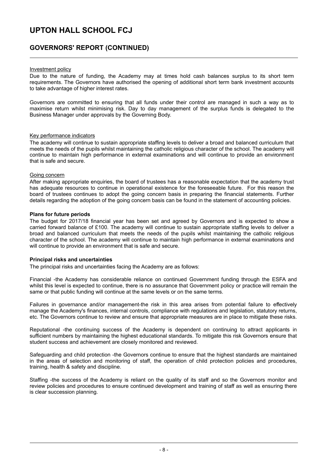### **GOVERNORS' REPORT (CONTINUED)**

#### Investment policy

Due to the nature of funding, the Academy may at times hold cash balances surplus to its short term requirements. The Governors have authorised the opening of additional short term bank investment accounts to take advantage of higher interest rates.

Governors are committed to ensuring that all funds under their control are managed in such a way as to maximise return whilst minimising risk. Day to day management of the surplus funds is delegated to the Business Manager under approvals by the Governing Body.

### Key performance indicators

The academy will continue to sustain appropriate staffing levels to deliver a broad and balanced curriculum that meets the needs of the pupils whilst maintaining the catholic religious character of the school. The academy will continue to maintain high performance in external examinations and will continue to provide an environment that is safe and secure.

#### Going concern

After making appropriate enquiries, the board of trustees has a reasonable expectation that the academy trust has adequate resources to continue in operational existence for the foreseeable future. For this reason the board of trustees continues to adopt the going concern basis in preparing the financial statements. Further details regarding the adoption of the going concern basis can be found in the statement of accounting policies.

### **Plans for future periods**

The budget for 2017/18 financial year has been set and agreed by Governors and is expected to show a carried forward balance of £100. The academy will continue to sustain appropriate staffing levels to deliver a broad and balanced curriculum that meets the needs of the pupils whilst maintaining the catholic religious character of the school. The academy will continue to maintain high performance in external examinations and will continue to provide an environment that is safe and secure.

#### **Principal risks and uncertainties**

The principal risks and uncertainties facing the Academy are as follows:

Financial -the Academy has considerable reliance on continued Government funding through the ESFA and whilst this level is expected to continue, there is no assurance that Government policy or practice will remain the same or that public funding will continue at the same levels or on the same terms.

Failures in governance and/or management-the risk in this area arises from potential failure to effectively manage the Academy's finances, internal controls, compliance with regulations and legislation, statutory returns, etc. The Governors continue to review and ensure that appropriate measures are in place to mitigate these risks.

Reputational -the continuing success of the Academy is dependent on continuing to attract applicants in sufficient numbers by maintaining the highest educational standards. To mitigate this risk Governors ensure that student success and achievement are closely monitored and reviewed.

Safeguarding and child protection -the Governors continue to ensure that the highest standards are maintained in the areas of selection and monitoring of staff, the operation of child protection policies and procedures, training, health & safety and discipline.

Staffing -the success of the Academy is reliant on the quality of its staff and so the Governors monitor and review policies and procedures to ensure continued development and training of staff as well as ensuring there is clear succession planning.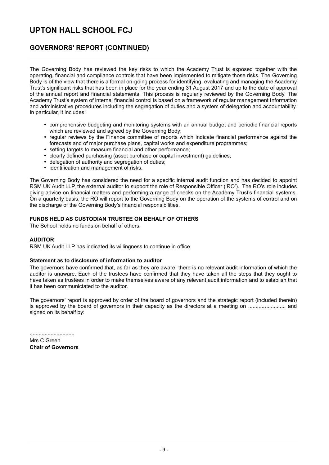### **GOVERNORS' REPORT (CONTINUED)**

The Governing Body has reviewed the key risks to which the Academy Trust is exposed together with the operating, financial and compliance controls that have been implemented to mitigate those risks. The Governing Body is of the view that there is a formal on-going process for identifying, evaluating and managing the Academy Trust's significant risks that has been in place for the year ending 31 August 2017 and up to the date of approval of the annual report and financial statements. This process is regularly reviewed by the Governing Body. The Academy Trust's system of internal financial control is based on a framework of regular management information and administrative procedures including the segregation of duties and a system of delegation and accountability. In particular, it includes:

- comprehensive budgeting and monitoring systems with an annual budget and periodic financial reports which are reviewed and agreed by the Governing Body;
- regular reviews by the Finance committee of reports which indicate financial performance against the forecasts and of major purchase plans, capital works and expenditure programmes;
- setting targets to measure financial and other performance;
- clearly defined purchasing (asset purchase or capital investment) guidelines;
- delegation of authority and segregation of duties;
- identification and management of risks.

The Governing Body has considered the need for a specific internal audit function and has decided to appoint RSM UK Audit LLP, the external auditor to support the role of Responsible Officer ('RO'). The RO's role includes giving advice on financial matters and performing a range of checks on the Academy Trust's financial systems. On a quarterly basis, the RO will report to the Governing Body on the operation of the systems of control and on the discharge of the Governing Body's financial responsibilities.

### **FUNDS HELD AS CUSTODIAN TRUSTEE ON BEHALF OF OTHERS**

The School holds no funds on behalf of others.

### **AUDITOR**

RSM UK Audit LLP has indicated its willingness to continue in office.

#### **Statement as to disclosure of information to auditor**

The governors have confirmed that, as far as they are aware, there is no relevant audit information of which the auditor is unaware. Each of the trustees have confirmed that they have taken all the steps that they ought to have taken as trustees in order to make themselves aware of any relevant audit information and to establish that it has been communictated to the auditor.

The governors' report is approved by order of the board of governors and the strategic report (included therein) is approved by the board of governors in their capacity as the directors at a meeting on ......................... and signed on its behalf by:

Mrs C Green **Chair of Governors**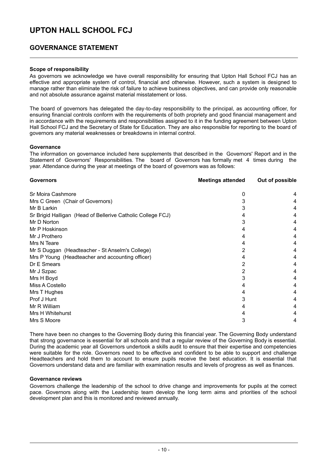### **GOVERNANCE STATEMENT**

### **Scope of responsibility**

As governors we acknowledge we have overall responsibility for ensuring that Upton Hall School FCJ has an effective and appropriate system of control, financial and otherwise. However, such a system is designed to manage rather than eliminate the risk of failure to achieve business objectives, and can provide only reasonable and not absolute assurance against material misstatement or loss.

The board of governors has delegated the day-to-day responsibility to the principal, as accounting officer, for ensuring financial controls conform with the requirements of both propriety and good financial management and in accordance with the requirements and responsibilities assigned to it in the funding agreement between Upton Hall School FCJ and the Secretary of State for Education. They are also responsible for reporting to the board of governors any material weaknesses or breakdowns in internal control.

#### **Governance**

The information on governance included here supplements that described in the Governors' Report and in the Statement of Governors' Responsibilities. The board of Governors has formally met 4 times during the year. Attendance during the year at meetings of the board of governors was as follows:

| <b>Governors</b>                                            | <b>Meetings attended</b> | Out of possible |
|-------------------------------------------------------------|--------------------------|-----------------|
| Sr Moira Cashmore                                           | 0                        | 4               |
| Mrs C Green (Chair of Governors)                            |                          | 4               |
| Mr B Larkin                                                 |                          | 4               |
| Sr Brigid Halligan (Head of Bellerive Catholic College FCJ) |                          | 4               |
| Mr D Norton                                                 |                          | 4               |
| Mr P Hoskinson                                              |                          | 4               |
| Mr J Prothero                                               |                          | 4               |
| Mrs N Teare                                                 | 4                        | 4               |
| Mr S Duggan (Headteacher - St Anselm's College)             |                          | 4               |
| Mrs P Young (Headteacher and accounting officer)            |                          | 4               |
| Dr E Smears                                                 |                          | 4               |
| Mr J Szpac                                                  |                          | 4               |
| Mrs H Boyd                                                  |                          | 4               |
| Miss A Costello                                             |                          | 4               |
| Mrs T Hughes                                                |                          | 4               |
| Prof J Hunt                                                 |                          | 4               |
| Mr R William                                                |                          | 4               |
| Mrs H Whitehurst                                            |                          | 4               |
| Mrs S Moore                                                 | 3                        | 4               |

There have been no changes to the Governing Body during this financial year. The Governing Body understand that strong governance is essential for all schools and that a regular review of the Governing Body is essential. During the academic year all Governors undertook a skills audit to ensure that their expertise and competencies were suitable for the role. Governors need to be effective and confident to be able to support and challenge Headteachers and hold them to account to ensure pupils receive the best education. It is essential that Governors understand data and are familiar with examination results and levels of progress as well as finances.

#### **Governance reviews**

Governors challenge the leadership of the school to drive change and improvements for pupils at the correct pace. Governors along with the Leadership team develop the long term aims and priorities of the school development plan and this is monitored and reviewed annually.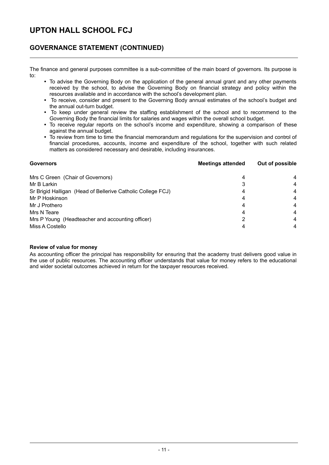### **GOVERNANCE STATEMENT (CONTINUED)**

The finance and general purposes committee is a sub-committee of the main board of governors. Its purpose is to:

- To advise the Governing Body on the application of the general annual grant and any other payments received by the school, to advise the Governing Body on financial strategy and policy within the resources available and in accordance with the school's development plan.
- To receive, consider and present to the Governing Body annual estimates of the school's budget and the annual out-turn budget.
- To keep under general review the staffing establishment of the school and to recommend to the Governing Body the financial limits for salaries and wages within the overall school budget.
- To receive regular reports on the school's income and expenditure, showing a comparison of these against the annual budget.
- To review from time to time the financial memorandum and regulations for the supervision and control of financial procedures, accounts, income and expenditure of the school, together with such related matters as considered necessary and desirable, including insurances.

| <b>Governors</b>                                            | <b>Meetings attended</b> | Out of possible |
|-------------------------------------------------------------|--------------------------|-----------------|
| Mrs C Green (Chair of Governors)                            | 4                        | 4               |
| Mr B Larkin                                                 |                          | $\overline{4}$  |
| Sr Brigid Halligan (Head of Bellerive Catholic College FCJ) | 4                        | 4               |
| Mr P Hoskinson                                              | 4                        | 4               |
| Mr J Prothero                                               | 4                        | 4               |
| Mrs N Teare                                                 | 4                        | 4               |
| Mrs P Young (Headteacher and accounting officer)            | 2                        | 4               |
| Miss A Costello                                             | 4                        | 4               |

### **Review of value for money**

As accounting officer the principal has responsibility for ensuring that the academy trust delivers good value in the use of public resources. The accounting officer understands that value for money refers to the educational and wider societal outcomes achieved in return for the taxpayer resources received.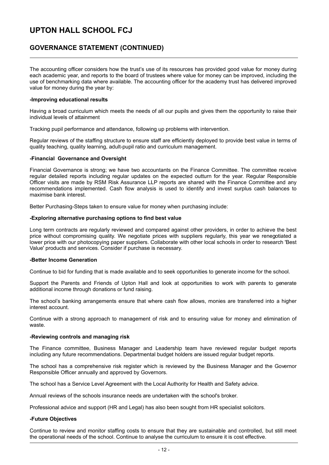### **GOVERNANCE STATEMENT (CONTINUED)**

The accounting officer considers how the trust's use of its resources has provided good value for money during each academic year, and reports to the board of trustees where value for money can be improved, including the use of benchmarking data where available. The accounting officer for the academy trust has delivered improved value for money during the year by:

#### **-Improving educational results**

Having a broad curriculum which meets the needs of all our pupils and gives them the opportunity to raise their individual levels of attainment

Tracking pupil performance and attendance, following up problems with intervention.

Regular reviews of the staffing structure to ensure staff are efficiently deployed to provide best value in terms of quality teaching, quality learning, adult-pupil ratio and curriculum management.

### **-Financial Governance and Oversight**

Financial Governance is strong; we have two accountants on the Finance Committee. The committee receive regular detailed reports including regular updates on the expected outturn for the year. Regular Responsible Officer visits are made by RSM Risk Assurance LLP reports are shared with the Finance Committee and any recommendations implemented. Cash flow analysis is used to identify and invest surplus cash balances to maximise bank interest.

Better Purchasing-Steps taken to ensure value for money when purchasing include:

### **-Exploring alternative purchasing options to find best value**

Long term contracts are regularly reviewed and compared against other providers, in order to achieve the best price without compromising quality. We negotiate prices with suppliers regularly, this year we renegotiated a lower price with our photocopying paper suppliers. Collaborate with other local schools in order to research 'Best Value' products and services. Consider if purchase is necessary.

#### **-Better Income Generation**

Continue to bid for funding that is made available and to seek opportunities to generate income for the school.

Support the Parents and Friends of Upton Hall and look at opportunities to work with parents to generate additional income through donations or fund raising.

The school's banking arrangements ensure that where cash flow allows, monies are transferred into a higher interest account.

Continue with a strong approach to management of risk and to ensuring value for money and elimination of waste.

#### **-Reviewing controls and managing risk**

The Finance committee, Business Manager and Leadership team have reviewed regular budget reports including any future recommendations. Departmental budget holders are issued regular budget reports.

The school has a comprehensive risk register which is reviewed by the Business Manager and the Governor Responsible Officer annually and approved by Governors.

The school has a Service Level Agreement with the Local Authority for Health and Safety advice.

Annual reviews of the schools insurance needs are undertaken with the school's broker.

Professional advice and support (HR and Legal) has also been sought from HR specialist solicitors.

#### **-Future Objectives**

Continue to review and monitor staffing costs to ensure that they are sustainable and controlled, but still meet the operational needs of the school. Continue to analyse the curriculum to ensure it is cost effective.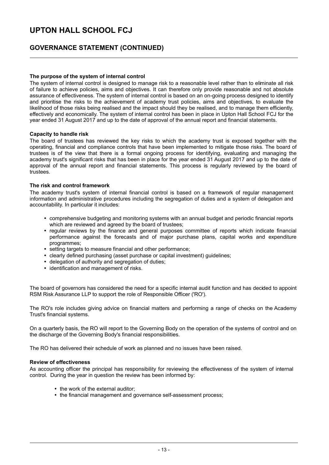### **GOVERNANCE STATEMENT (CONTINUED)**

### **The purpose of the system of internal control**

The system of internal control is designed to manage risk to a reasonable level rather than to eliminate all risk of failure to achieve policies, aims and objectives. It can therefore only provide reasonable and not absolute assurance of effectiveness. The system of internal control is based on an on-going process designed to identify and prioritise the risks to the achievement of academy trust policies, aims and objectives, to evaluate the likelihood of those risks being realised and the impact should they be realised, and to manage them efficiently, effectively and economically. The system of internal control has been in place in Upton Hall School FCJ for the year ended 31 August 2017 and up to the date of approval of the annual report and financial statements.

#### **Capacity to handle risk**

The board of trustees has reviewed the key risks to which the academy trust is exposed together with the operating, financial and compliance controls that have been implemented to mitigate those risks. The board of trustees is of the view that there is a formal ongoing process for identifying, evaluating and managing the academy trust's significant risks that has been in place for the year ended 31 August 2017 and up to the date of approval of the annual report and financial statements. This process is regularly reviewed by the board of trustees.

#### **The risk and control framework**

The academy trust's system of internal financial control is based on a framework of regular management information and administrative procedures including the segregation of duties and a system of delegation and accountability. In particular it includes:

- comprehensive budgeting and monitoring systems with an annual budget and periodic financial reports which are reviewed and agreed by the board of trustees;
- regular reviews by the finance and general purposes committee of reports which indicate financial performance against the forecasts and of major purchase plans, capital works and expenditure programmes;
- setting targets to measure financial and other performance;
- clearly defined purchasing (asset purchase or capital investment) guidelines;
- delegation of authority and segregation of duties;
- identification and management of risks.

The board of governors has considered the need for a specific internal audit function and has decided to appoint RSM Risk Assurance LLP to support the role of Responsible Officer ('RO').

The RO's role includes giving advice on financial matters and performing a range of checks on the Academy Trust's financial systems.

On a quarterly basis, the RO will report to the Governing Body on the operation of the systems of control and on the discharge of the Governing Body's financial responsibilities.

The RO has delivered their schedule of work as planned and no issues have been raised.

#### **Review of effectiveness**

As accounting officer the principal has responsibility for reviewing the effectiveness of the system of internal control. During the year in question the review has been informed by:

- the work of the external auditor;
- the financial management and governance self-assessment process;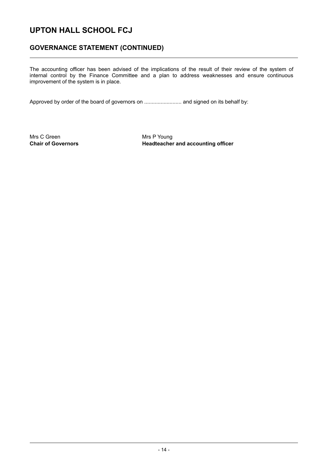### **GOVERNANCE STATEMENT (CONTINUED)**

The accounting officer has been advised of the implications of the result of their review of the system of internal control by the Finance Committee and a plan to address weaknesses and ensure continuous improvement of the system is in place.

Approved by order of the board of governors on ......................... and signed on its behalf by:

Mrs C Green Mrs P Young

**Chair of Governors The Example 20 Headteacher and accounting officer**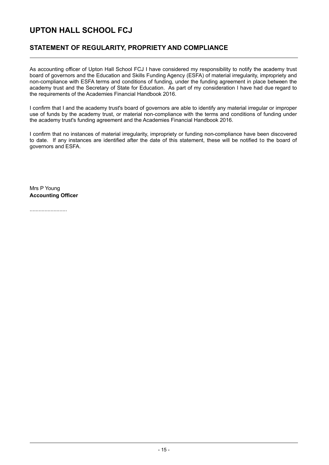### **STATEMENT OF REGULARITY, PROPRIETY AND COMPLIANCE**

As accounting officer of Upton Hall School FCJ I have considered my responsibility to notify the academy trust board of governors and the Education and Skills Funding Agency (ESFA) of material irregularity, impropriety and non-compliance with ESFA terms and conditions of funding, under the funding agreement in place between the academy trust and the Secretary of State for Education. As part of my consideration I have had due regard to the requirements of the Academies Financial Handbook 2016.

I confirm that I and the academy trust's board of governors are able to identify any material irregular or improper use of funds by the academy trust, or material non-compliance with the terms and conditions of funding under the academy trust's funding agreement and the Academies Financial Handbook 2016.

I confirm that no instances of material irregularity, impropriety or funding non-compliance have been discovered to date. If any instances are identified after the date of this statement, these will be notified to the board of governors and ESFA.

Mrs P Young **Accounting Officer**

.........................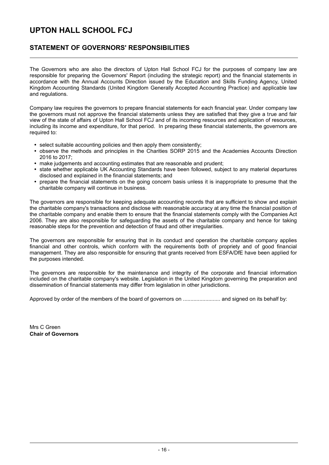### **STATEMENT OF GOVERNORS' RESPONSIBILITIES**

The Governors who are also the directors of Upton Hall School FCJ for the purposes of company law are responsible for preparing the Governors' Report (including the strategic report) and the financial statements in accordance with the Annual Accounts Direction issued by the Education and Skills Funding Agency, United Kingdom Accounting Standards (United Kingdom Generally Accepted Accounting Practice) and applicable law and regulations.

Company law requires the governors to prepare financial statements for each financial year. Under company law the governors must not approve the financial statements unless they are satisfied that they give a true and fair view of the state of affairs of Upton Hall School FCJ and of its incoming resources and application of resources, including its income and expenditure, for that period. In preparing these financial statements, the governors are required to:

- select suitable accounting policies and then apply them consistently;
- $\bullet$ observe the methods and principles in the Charities SORP 2015 and the Academies Accounts Direction 2016 to 2017;
- make judgements and accounting estimates that are reasonable and prudent;
- state whether applicable UK Accounting Standards have been followed, subject to any material departures disclosed and explained in the financial statements; and
- prepare the financial statements on the going concern basis unless it is inappropriate to presume that the charitable company will continue in business.

The governors are responsible for keeping adequate accounting records that are sufficient to show and explain the charitable company's transactions and disclose with reasonable accuracy at any time the financial position of the charitable company and enable them to ensure that the financial statements comply with the Companies Act 2006. They are also responsible for safeguarding the assets of the charitable company and hence for taking reasonable steps for the prevention and detection of fraud and other irregularities.

The governors are responsible for ensuring that in its conduct and operation the charitable company applies financial and other controls, which conform with the requirements both of propriety and of good financial management. They are also responsible for ensuring that grants received from ESFA/DfE have been applied for the purposes intended.

The governors are responsible for the maintenance and integrity of the corporate and financial information included on the charitable company's website. Legislation in the United Kingdom governing the preparation and dissemination of financial statements may differ from legislation in other jurisdictions.

Approved by order of the members of the board of governors on ......................... and signed on its behalf by:

Mrs C Green **Chair of Governors**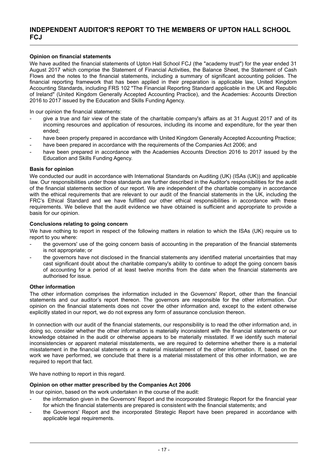### **Opinion on financial statements**

We have audited the financial statements of Upton Hall School FCJ (the "academy trust") for the year ended 31 August 2017 which comprise the Statement of Financial Activities, the Balance Sheet, the Statement of Cash Flows and the notes to the financial statements, including a summary of significant accounting policies. The financial reporting framework that has been applied in their preparation is applicable law, United Kingdom Accounting Standards, including FRS 102 "The Financial Reporting Standard applicable in the UK and Republic of Ireland" (United Kingdom Generally Accepted Accounting Practice), and the Academies: Accounts Direction 2016 to 2017 issued by the Education and Skills Funding Agency.

In our opinion the financial statements:

- give a true and fair view of the state of the charitable company's affairs as at 31 August 2017 and of its incoming resources and application of resources, including its income and expenditure, for the year then ended;
- have been properly prepared in accordance with United Kingdom Generally Accepted Accounting Practice;
- have been prepared in accordance with the requirements of the Companies Act 2006; and
- have been prepared in accordance with the Academies Accounts Direction 2016 to 2017 issued by the Education and Skills Funding Agency.

#### **Basis for opinion**

We conducted our audit in accordance with International Standards on Auditing (UK) (ISAs (UK)) and applicable law. Our responsibilities under those standards are further described in the Auditor's responsibilities for the audit of the financial statements section of our report. We are independent of the charitable company in accordance with the ethical requirements that are relevant to our audit of the financial statements in the UK, including the FRC's Ethical Standard and we have fulfilled our other ethical responsibilities in accordance with these requirements. We believe that the audit evidence we have obtained is sufficient and appropriate to provide a basis for our opinion.

#### **Conclusions relating to going concern**

We have nothing to report in respect of the following matters in relation to which the ISAs (UK) require us to report to you where:

- the governors' use of the going concern basis of accounting in the preparation of the financial statements is not appropriate; or
- the governors have not disclosed in the financial statements any identified material uncertainties that may cast significant doubt about the charitable company's ability to continue to adopt the going concern basis of accounting for a period of at least twelve months from the date when the financial statements are authorised for issue.

#### **Other information**

The other information comprises the information included in the Governors' Report, other than the financial statements and our auditor's report thereon. The governors are responsible for the other information. Our opinion on the financial statements does not cover the other information and, except to the extent otherwise explicitly stated in our report, we do not express any form of assurance conclusion thereon.

In connection with our audit of the financial statements, our responsibility is to read the other information and, in doing so, consider whether the other information is materially inconsistent with the financial statements or our knowledge obtained in the audit or otherwise appears to be materially misstated. If we identify such material inconsistencies or apparent material misstatements, we are required to determine whether there is a material misstatement in the financial statements or a material misstatement of the other information. If, based on the work we have performed, we conclude that there is a material misstatement of this other information, we are required to report that fact.

We have nothing to report in this regard.

### **Opinion on other matter prescribed by the Companies Act 2006**

In our opinion, based on the work undertaken in the course of the audit:

- the information given in the Governors' Report and the incorporated Strategic Report for the financial year for which the financial statements are prepared is consistent with the financial statements; and
- the Governors' Report and the incorporated Strategic Report have been prepared in accordance with applicable legal requirements.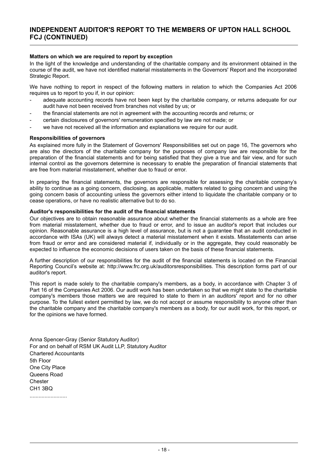### **Matters on which we are required to report by exception**

In the light of the knowledge and understanding of the charitable company and its environment obtained in the course of the audit, we have not identified material misstatements in the Governors' Report and the incorporated Strategic Report.

We have nothing to report in respect of the following matters in relation to which the Companies Act 2006 requires us to report to you if, in our opinion:

- adequate accounting records have not been kept by the charitable company, or returns adequate for our audit have not been received from branches not visited by us; or
- the financial statements are not in agreement with the accounting records and returns; or
- certain disclosures of governors' remuneration specified by law are not made; or
- we have not received all the information and explanations we require for our audit.

#### **Responsibilities of governors**

As explained more fully in the Statement of Governors' Responsibilities set out on page 16, The governors who are also the directors of the charitable company for the purposes of company law are responsible for the preparation of the financial statements and for being satisfied that they give a true and fair view, and for such internal control as the governors determine is necessary to enable the preparation of financial statements that are free from material misstatement, whether due to fraud or error.

In preparing the financial statements, the governors are responsible for assessing the charitable company's ability to continue as a going concern, disclosing, as applicable, matters related to going concern and using the going concern basis of accounting unless the governors either intend to liquidate the charitable company or to cease operations, or have no realistic alternative but to do so.

#### **Auditor's responsibilities for the audit of the financial statements**

Our objectives are to obtain reasonable assurance about whether the financial statements as a whole are free from material misstatement, whether due to fraud or error, and to issue an auditor's report that includes our opinion. Reasonable assurance is a high level of assurance, but is not a guarantee that an audit conducted in accordance with ISAs (UK) will always detect a material misstatement when it exists. Misstatements can arise from fraud or error and are considered material if, individually or in the aggregate, they could reasonably be expected to influence the economic decisions of users taken on the basis of these financial statements.

A further description of our responsibilities for the audit of the financial statements is located on the Financial Reporting Council's website at: http://www.frc.org.uk/auditorsresponsibilities. This description forms part of our auditor's report.

This report is made solely to the charitable company's members, as a body, in accordance with Chapter 3 of Part 16 of the Companies Act 2006. Our audit work has been undertaken so that we might state to the charitable company's members those matters we are required to state to them in an auditors' report and for no other purpose. To the fullest extent permitted by law, we do not accept or assume responsibility to anyone other than the charitable company and the charitable company's members as a body, for our audit work, for this report, or for the opinions we have formed.

Anna Spencer-Gray (Senior Statutory Auditor) For and on behalf of RSM UK Audit LLP, Statutory Auditor Chartered Accountants 5th Floor One City Place Queens Road **Chester** CH1 3BQ .........................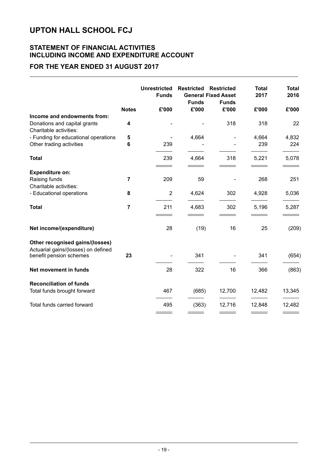### **STATEMENT OF FINANCIAL ACTIVITIES INCLUDING INCOME AND EXPENDITURE ACCOUNT**

### **FOR THE YEAR ENDED 31 AUGUST 2017**

|                                                                                                   |                | <b>Unrestricted</b><br><b>Funds</b> | <b>Restricted</b><br><b>Funds</b> | <b>Restricted</b><br><b>General Fixed Asset</b><br><b>Funds</b> | <b>Total</b><br>2017 | <b>Total</b><br>2016 |
|---------------------------------------------------------------------------------------------------|----------------|-------------------------------------|-----------------------------------|-----------------------------------------------------------------|----------------------|----------------------|
|                                                                                                   | <b>Notes</b>   | £'000                               | £'000                             | £'000                                                           | £'000                | £'000                |
| Income and endowments from:<br>Donations and capital grants<br>Charitable activities:             | 4              |                                     |                                   | 318                                                             | 318                  | 22                   |
| - Funding for educational operations                                                              | 5              |                                     | 4,664                             |                                                                 | 4,664                | 4,832                |
| Other trading activities                                                                          | 6              | 239                                 |                                   |                                                                 | 239                  | 224                  |
| <b>Total</b>                                                                                      |                | 239                                 | 4,664                             | 318                                                             | 5,221                | 5,078                |
| <b>Expenditure on:</b>                                                                            |                |                                     |                                   |                                                                 |                      |                      |
| Raising funds<br>Charitable activities:                                                           | $\overline{7}$ | 209                                 | 59                                |                                                                 | 268                  | 251                  |
| - Educational operations                                                                          | 8              | $\overline{2}$                      | 4,624                             | 302                                                             | 4,928                | 5,036                |
| <b>Total</b>                                                                                      | $\overline{7}$ | 211                                 | 4,683                             | 302                                                             | 5,196                | 5,287                |
| Net income/(expenditure)                                                                          |                | 28                                  | (19)                              | 16                                                              | 25                   | (209)                |
| Other recognised gains/(losses)<br>Actuarial gains/(losses) on defined<br>benefit pension schemes | 23             |                                     | 341                               |                                                                 | 341                  | (654)                |
| Net movement in funds                                                                             |                | 28                                  | 322                               | 16                                                              | 366                  | (863)                |
| <b>Reconciliation of funds</b>                                                                    |                |                                     |                                   |                                                                 |                      |                      |
| Total funds brought forward                                                                       |                | 467                                 | (685)                             | 12,700                                                          | 12,482               | 13,345               |
| Total funds carried forward                                                                       |                | 495                                 | (363)                             | 12,716                                                          | 12,848               | 12,482               |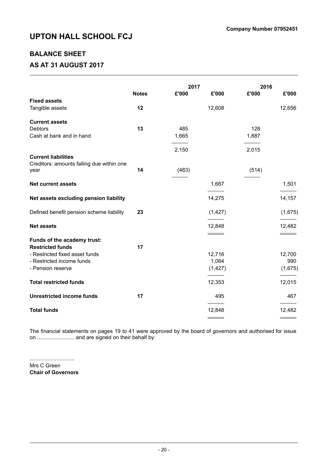### **BALANCE SHEET**

### **AS AT 31 AUGUST 2017**

|                                           |              | 2017  |          | 2016  |         |
|-------------------------------------------|--------------|-------|----------|-------|---------|
|                                           | <b>Notes</b> | £'000 | £'000    | £'000 | £'000   |
| <b>Fixed assets</b>                       |              |       |          |       |         |
| Tangible assets                           | 12           |       | 12,608   |       | 12,656  |
| <b>Current assets</b>                     |              |       |          |       |         |
| <b>Debtors</b>                            | 13           | 485   |          | 128   |         |
|                                           |              |       |          |       |         |
| Cash at bank and in hand                  |              | 1,665 |          | 1,887 |         |
|                                           |              | 2,150 |          | 2,015 |         |
| <b>Current liabilities</b>                |              |       |          |       |         |
| Creditors: amounts falling due within one |              |       |          |       |         |
| year                                      | 14           | (483) |          | (514) |         |
| <b>Net current assets</b>                 |              |       | 1,667    |       | 1,501   |
|                                           |              |       |          |       |         |
| Net assets excluding pension liability    |              |       | 14,275   |       | 14,157  |
| Defined benefit pension scheme liability  | 23           |       | (1, 427) |       | (1,675) |
|                                           |              |       |          |       |         |
| <b>Net assets</b>                         |              |       | 12,848   |       | 12,482  |
|                                           |              |       |          |       |         |
| Funds of the academy trust:               |              |       |          |       |         |
| <b>Restricted funds</b>                   | 17           |       |          |       |         |
| - Restricted fixed asset funds            |              |       | 12,716   |       | 12,700  |
| - Restricted income funds                 |              |       | 1,064    |       | 990     |
| - Pension reserve                         |              |       | (1, 427) |       | (1,675) |
| <b>Total restricted funds</b>             |              |       | 12,353   |       | 12,015  |
| <b>Unrestricted income funds</b>          | 17           |       | 495      |       | 467     |
| <b>Total funds</b>                        |              |       | 12,848   |       | 12,482  |
|                                           |              |       |          |       |         |

The financial statements on pages 19 to 41 were approved by the board of governors and authorised for issue on ......................... and are signed on their behalf by:

.............................. Mrs C Green **Chair of Governors**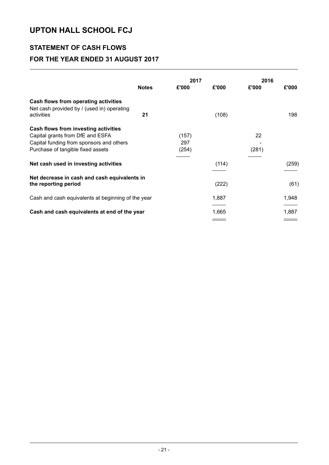## **STATEMENT OF CASH FLOWS FOR THE YEAR ENDED 31 AUGUST 2017**

|                                                                                                                                                           |              | 2017                  |       | 2016        |       |
|-----------------------------------------------------------------------------------------------------------------------------------------------------------|--------------|-----------------------|-------|-------------|-------|
|                                                                                                                                                           | <b>Notes</b> | £'000                 | £'000 | £'000       | £'000 |
| Cash flows from operating activities<br>Net cash provided by / (used in) operating<br>activities                                                          | 21           |                       | (108) |             | 198   |
| Cash flows from investing activities<br>Capital grants from DfE and ESFA<br>Capital funding from sponsors and others<br>Purchase of tangible fixed assets |              | (157)<br>297<br>(254) |       | 22<br>(281) |       |
| Net cash used in investing activities                                                                                                                     |              |                       | (114) |             | (259) |
| Net decrease in cash and cash equivalents in<br>the reporting period                                                                                      |              |                       | (222) |             | (61)  |
| Cash and cash equivalents at beginning of the year                                                                                                        |              |                       | 1,887 |             | 1,948 |
| Cash and cash equivalents at end of the year                                                                                                              |              |                       | 1,665 |             | 1,887 |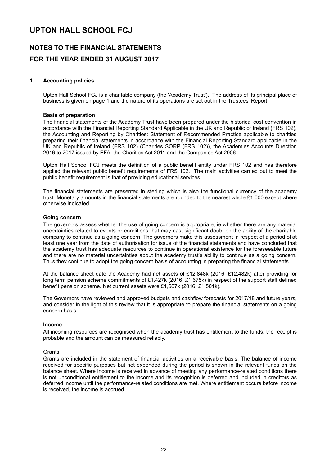### **NOTES TO THE FINANCIAL STATEMENTS FOR THE YEAR ENDED 31 AUGUST 2017**

### **1 Accounting policies**

Upton Hall School FCJ is a charitable company (the 'Academy Trust'). The address of its principal place of business is given on page 1 and the nature of its operations are set out in the Trustees' Report.

#### **Basis of preparation**

The financial statements of the Academy Trust have been prepared under the historical cost convention in accordance with the Financial Reporting Standard Applicable in the UK and Republic of Ireland (FRS 102), the Accounting and Reporting by Charities: Statement of Recommended Practice applicable to charities preparing their financial statements in accordance with the Financial Reporting Standard applicable in the UK and Republic of Ireland (FRS 102) (Charities SORP (FRS 102)), the Academies Accounts Direction 2016 to 2017 issued by EFA, the Charities Act 2011 and the Companies Act 2006.

Upton Hall School FCJ meets the definition of a public benefit entity under FRS 102 and has therefore applied the relevant public benefit requirements of FRS 102. The main activities carried out to meet the public benefit requirement is that of providing educational services.

The financial statements are presented in sterling which is also the functional currency of the academy trust. Monetary amounts in the financial statements are rounded to the nearest whole £1,000 except where otherwise indicated.

#### **Going concern**

The governors assess whether the use of going concern is appropriate, ie whether there are any material uncertainties related to events or conditions that may cast significant doubt on the ability of the charitable company to continue as a going concern. The governors make this assessment in respect of a period of at least one year from the date of authorisation for issue of the financial statements and have concluded that the academy trust has adequate resources to continue in operational existence for the foreseeable future and there are no material uncertainties about the academy trust's ability to continue as a going concern. Thus they continue to adopt the going concern basis of accounting in preparing the financial statements.

At the balance sheet date the Academy had net assets of £12,848k (2016: £12,482k) after providing for long term pension scheme commitments of £1,427k (2016: £1,675k) in respect of the support staff defined benefit pension scheme. Net current assets were £1,667k (2016: £1,501k).

The Governors have reviewed and approved budgets and cashflow forecasts for 2017/18 and future years, and consider in the light of this review that it is appropriate to prepare the financial statements on a going concern basis.

#### **Income**

All incoming resources are recognised when the academy trust has entitlement to the funds, the receipt is probable and the amount can be measured reliably.

#### **Grants**

Grants are included in the statement of financial activities on a receivable basis. The balance of income received for specific purposes but not expended during the period is shown in the relevant funds on the balance sheet. Where income is received in advance of meeting any performance-related conditions there is not unconditional entitlement to the income and its recognition is deferred and included in creditors as deferred income until the performance-related conditions are met. Where entitlement occurs before income is received, the income is accrued.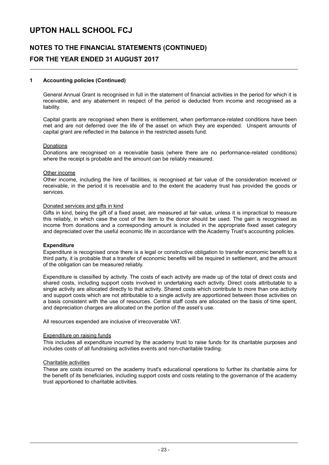### **NOTES TO THE FINANCIAL STATEMENTS (CONTINUED) FOR THE YEAR ENDED 31 AUGUST 2017**

### **1 Accounting policies (Continued)**

General Annual Grant is recognised in full in the statement of financial activities in the period for which it is receivable, and any abatement in respect of the period is deducted from income and recognised as a liability.

Capital grants are recognised when there is entitlement, when performance-related conditions have been met and are not deferred over the life of the asset on which they are expended. Unspent amounts of capital grant are reflected in the balance in the restricted assets fund.

#### Donations

Donations are recognised on a receivable basis (where there are no performance-related conditions) where the receipt is probable and the amount can be reliably measured.

#### Other income

Other income, including the hire of facilities, is recognised at fair value of the consideration received or receivable, in the period it is receivable and to the extent the academy trust has provided the goods or services.

#### Donated services and gifts in kind

Gifts in kind, being the gift of a fixed asset, are measured at fair value, unless it is impractical to measure this reliably, in which case the cost of the item to the donor should be used. The gain is recognised as income from donations and a corresponding amount is included in the appropriate fixed asset category and depreciated over the useful economic life in accordance with the Academy Trust's accounting policies.

#### **Expenditure**

Expenditure is recognised once there is a legal or constructive obligation to transfer economic benefit to a third party, it is probable that a transfer of economic benefits will be required in settlement, and the amount of the obligation can be measured reliably.

Expenditure is classified by activity. The costs of each activity are made up of the total of direct costs and shared costs, including support costs involved in undertaking each activity. Direct costs attributable to a single activity are allocated directly to that activity. Shared costs which contribute to more than one activity and support costs which are not attributable to a single activity are apportioned between those activities on a basis consistent with the use of resources. Central staff costs are allocated on the basis of time spent, and depreciation charges are allocated on the portion of the asset's use.

All resources expended are inclusive of irrecoverable VAT.

#### Expenditure on raising funds

This includes all expenditure incurred by the academy trust to raise funds for its charitable purposes and includes costs of all fundraising activities events and non-charitable trading.

#### Charitable activities

These are costs incurred on the academy trust's educational operations to further its charitable aims for the benefit of its beneficiaries, including support costs and costs relating to the governance of the academy trust apportioned to charitable activities.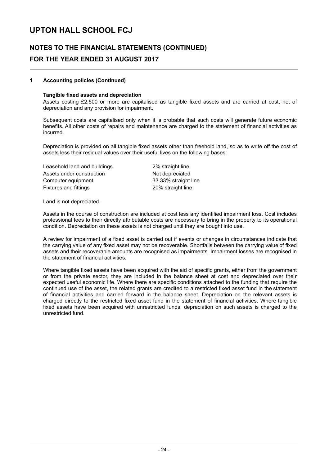### **NOTES TO THE FINANCIAL STATEMENTS (CONTINUED) FOR THE YEAR ENDED 31 AUGUST 2017**

### **1 Accounting policies (Continued)**

### **Tangible fixed assets and depreciation**

Assets costing £2,500 or more are capitalised as tangible fixed assets and are carried at cost, net of depreciation and any provision for impairment.

Subsequent costs are capitalised only when it is probable that such costs will generate future economic benefits. All other costs of repairs and maintenance are charged to the statement of financial activities as incurred.

Depreciation is provided on all tangible fixed assets other than freehold land, so as to write off the cost of assets less their residual values over their useful lives on the following bases:

Leasehold land and buildings 2% straight line Assets under construction Not depreciated Computer equipment 33.33% straight line Fixtures and fittings **20%** straight line

Land is not depreciated.

Assets in the course of construction are included at cost less any identified impairment loss. Cost includes professional fees to their directly attributable costs are necessary to bring in the property to its operational condition. Depreciation on these assets is not charged until they are bought into use.

A review for impairment of a fixed asset is carried out if events or changes in circumstances indicate that the carrying value of any fixed asset may not be recoverable. Shortfalls between the carrying value of fixed assets and their recoverable amounts are recognised as impairments. Impairment losses are recognised in the statement of financial activities.

Where tangible fixed assets have been acquired with the aid of specific grants, either from the government or from the private sector, they are included in the balance sheet at cost and depreciated over their expected useful economic life. Where there are specific conditions attached to the funding that require the continued use of the asset, the related grants are credited to a restricted fixed asset fund in the statement of financial activities and carried forward in the balance sheet. Depreciation on the relevant assets is charged directly to the restricted fixed asset fund in the statement of financial activities. Where tangible fixed assets have been acquired with unrestricted funds, depreciation on such assets is charged to the unrestricted fund.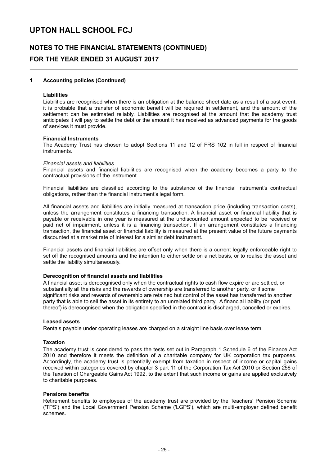### **NOTES TO THE FINANCIAL STATEMENTS (CONTINUED) FOR THE YEAR ENDED 31 AUGUST 2017**

### **1 Accounting policies (Continued)**

#### **Liabilities**

Liabilities are recognised when there is an obligation at the balance sheet date as a result of a past event, it is probable that a transfer of economic benefit will be required in settlement, and the amount of the settlement can be estimated reliably. Liabilities are recognised at the amount that the academy trust anticipates it will pay to settle the debt or the amount it has received as advanced payments for the goods of services it must provide.

#### **Financial Instruments**

The Academy Trust has chosen to adopt Sections 11 and 12 of FRS 102 in full in respect of financial instruments.

#### *Financial assets and liabilities*

Financial assets and financial liabilities are recognised when the academy becomes a party to the contractual provisions of the instrument.

Financial liabilities are classified according to the substance of the financial instrument's contractual obligations, rather than the financial instrument's legal form.

All financial assets and liabilities are initially measured at transaction price (including transaction costs), unless the arrangement constitutes a financing transaction. A financial asset or financial liability that is payable or receivable in one year is measured at the undiscounted amount expected to be received or paid net of impairment, unless it is a financing transaction. If an arrangement constitutes a financing transaction, the financial asset or financial liability is measured at the present value of the future payments discounted at a market rate of interest for a similar debt instrument.

Financial assets and financial liabilities are offset only when there is a current legally enforceable right to set off the recognised amounts and the intention to either settle on a net basis, or to realise the asset and settle the liability simultaneously.

#### **Derecognition of financial assets and liabilities**

A financial asset is derecognised only when the contractual rights to cash flow expire or are settled, or substantially all the risks and the rewards of ownership are transferred to another party, or if some significant risks and rewards of ownership are retained but control of the asset has transferred to another party that is able to sell the asset in its entirety to an unrelated third party. A financial liability (or part thereof) is derecognised when the obligation specified in the contract is discharged, cancelled or expires.

#### **Leased assets**

Rentals payable under operating leases are charged on a straight line basis over lease term.

#### **Taxation**

The academy trust is considered to pass the tests set out in Paragraph 1 Schedule 6 of the Finance Act 2010 and therefore it meets the definition of a charitable company for UK corporation tax purposes. Accordingly, the academy trust is potentially exempt from taxation in respect of income or capital gains received within categories covered by chapter 3 part 11 of the Corporation Tax Act 2010 or Section 256 of the Taxation of Chargeable Gains Act 1992, to the extent that such income or gains are applied exclusively to charitable purposes.

#### **Pensions benefits**

Retirement benefits to employees of the academy trust are provided by the Teachers' Pension Scheme ('TPS') and the Local Government Pension Scheme ('LGPS'), which are multi-employer defined benefit schemes.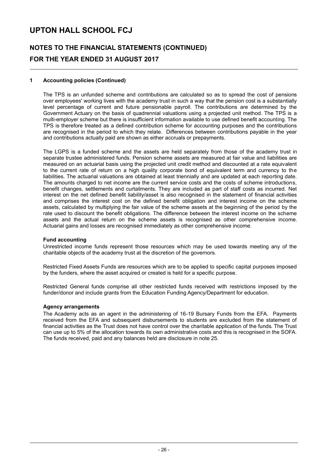## **NOTES TO THE FINANCIAL STATEMENTS (CONTINUED) FOR THE YEAR ENDED 31 AUGUST 2017**

### **1 Accounting policies (Continued)**

The TPS is an unfunded scheme and contributions are calculated so as to spread the cost of pensions over employees' working lives with the academy trust in such a way that the pension cost is a substantially level percentage of current and future pensionable payroll. The contributions are determined by the Government Actuary on the basis of quadrennial valuations using a projected unit method. The TPS is a multi-employer scheme but there is insufficient information available to use defined benefit accounting. The TPS is therefore treated as a defined contribution scheme for accounting purposes and the contributions are recognised in the period to which they relate. Differences between contributions payable in the year and contributions actually paid are shown as either accruals or prepayments.

The LGPS is a funded scheme and the assets are held separately from those of the academy trust in separate trustee administered funds. Pension scheme assets are measured at fair value and liabilities are measured on an actuarial basis using the projected unit credit method and discounted at a rate equivalent to the current rate of return on a high quality corporate bond of equivalent term and currency to the liabilities. The actuarial valuations are obtained at least triennially and are updated at each reporting date. The amounts charged to net income are the current service costs and the costs of scheme introductions, benefit changes, settlements and curtailments. They are included as part of staff costs as incurred. Net interest on the net defined benefit liability/asset is also recognised in the statement of financial activities and comprises the interest cost on the defined benefit obligation and interest income on the scheme assets, calculated by multiplying the fair value of the scheme assets at the beginning of the period by the rate used to discount the benefit obligations. The difference between the interest income on the scheme assets and the actual return on the scheme assets is recognised as other comprehensive income. Actuarial gains and losses are recognised immediately as other comprehensive income.

#### **Fund accounting**

Unrestricted income funds represent those resources which may be used towards meeting any of the charitable objects of the academy trust at the discretion of the governors.

Restricted Fixed Assets Funds are resources which are to be applied to specific capital purposes imposed by the funders, where the asset acquired or created is held for a specific purpose.

Restricted General funds comprise all other restricted funds received with restrictions imposed by the funder/donor and include grants from the Education Funding Agency/Department for education.

#### **Agency arrangements**

The Academy acts as an agent in the administering of 16-19 Bursary Funds from the EFA. Payments received from the EFA and subsequent disbursements to students are excluded from the statement of financial activities as the Trust does not have control over the charitable application of the funds. The Trust can use up to 5% of the allocation towards its own administrative costs and this is recognised in the SOFA. The funds received, paid and any balances held are disclosure in note 25.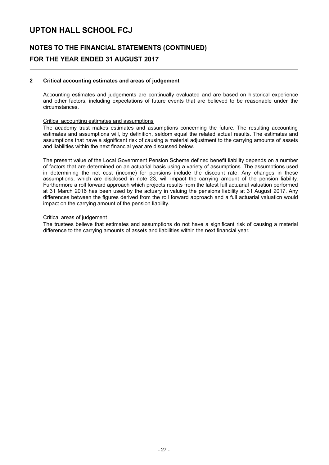## **NOTES TO THE FINANCIAL STATEMENTS (CONTINUED) FOR THE YEAR ENDED 31 AUGUST 2017**

### **2 Critical accounting estimates and areas of judgement**

Accounting estimates and judgements are continually evaluated and are based on historical experience and other factors, including expectations of future events that are believed to be reasonable under the circumstances.

#### Critical accounting estimates and assumptions

The academy trust makes estimates and assumptions concerning the future. The resulting accounting estimates and assumptions will, by definition, seldom equal the related actual results. The estimates and assumptions that have a significant risk of causing a material adjustment to the carrying amounts of assets and liabilities within the next financial year are discussed below.

The present value of the Local Government Pension Scheme defined benefit liability depends on a number of factors that are determined on an actuarial basis using a variety of assumptions. The assumptions used in determining the net cost (income) for pensions include the discount rate. Any changes in these assumptions, which are disclosed in note 23, will impact the carrying amount of the pension liability. Furthermore a roll forward approach which projects results from the latest full actuarial valuation performed at 31 March 2016 has been used by the actuary in valuing the pensions liability at 31 August 2017. Any differences between the figures derived from the roll forward approach and a full actuarial valuation would impact on the carrying amount of the pension liability.

#### Critical areas of judgement

The trustees believe that estimates and assumptions do not have a significant risk of causing a material difference to the carrying amounts of assets and liabilities within the next financial year.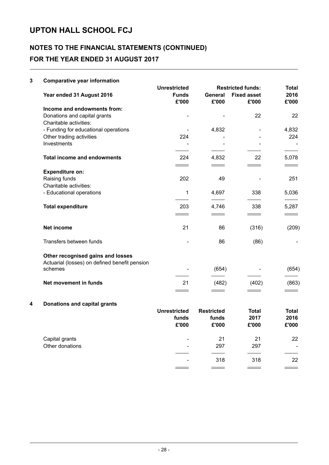## **NOTES TO THE FINANCIAL STATEMENTS (CONTINUED) FOR THE YEAR ENDED 31 AUGUST 2017**

### **3 Comparative year information Unrestricted Restricted funds: Total Year ended 31 August 2016 Funds General Fixed asset 2016 £'000 £'000 £'000 £'000 Income and endowments from:** Donations and capital grants and capital grants and capital grants and capital grants and  $\sim$  22 22 22 22 Charitable activities: - Funding for educational operations and the set of the 4,832 contract the 4,832 contract 4,832 Other trading activities and the contraction of the contraction of the contraction of the contraction of the contraction of the contraction of the contraction of the contraction of the contraction of the contraction of the Investments and the set of the set of the set of the set of the set of the set of the set of the set of the set of the set of the set of the set of the set of the set of the set of the set of the set of the set of the set **Total income and endowments** 224 4,832 22 5,078  $\sim$  $\overline{\phantom{0}}$ **Expenditure on:** Raising funds 202 49 - 251 Charitable activities: - Educational operations 1 4,697 338 5,036 **Total expenditure** 203 4,746 338 5,287  $\frac{1}{1}$  $\frac{1}{1}$  $\frac{1}{1}$  $\qquad \qquad =$ **Net income** 21 86 (316) (209) Transfers between funds and the set of the set of the set of the set of the set of the set of the set of the set of the set of the set of the set of the set of the set of the set of the set of the set of the set of the set **Other recognised gains and losses** Actuarial (losses) on defined benefit pension schemes - (654) - (654) **Net movement in funds** (863) (863) **4 Donations and capital grants Unrestricted Restricted Total Total funds funds 2017 2016 £'000 £'000 £'000 £'000** Capital grants 22 22 Other donations and the control of the control of the control of the control of the control of the control of the control of the control of the control of the control of the control of the control of the control of the con - 318 318 22

 $\overline{\phantom{0}}$ 

 $\overline{\phantom{0}}$ 

 $\overline{\phantom{0}}$ 

 $\overline{\phantom{0}}$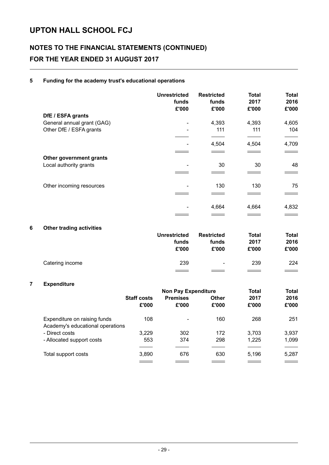## **NOTES TO THE FINANCIAL STATEMENTS (CONTINUED) FOR THE YEAR ENDED 31 AUGUST 2017**

### **5 Funding for the academy trust's educational operations**

|                            | <b>Unrestricted</b><br>funds<br>£'000 | <b>Restricted</b><br>funds<br>£'000 | <b>Total</b><br>2017<br>£'000 | <b>Total</b><br>2016<br>£'000 |
|----------------------------|---------------------------------------|-------------------------------------|-------------------------------|-------------------------------|
| DfE / ESFA grants          |                                       |                                     |                               |                               |
| General annual grant (GAG) | $\overline{\phantom{a}}$              | 4,393                               | 4,393                         | 4,605                         |
| Other DfE / ESFA grants    | $\overline{\phantom{a}}$              | 111                                 | 111                           | 104                           |
|                            |                                       |                                     |                               |                               |
|                            |                                       | 4,504                               | 4,504                         | 4,709                         |
|                            |                                       |                                     |                               |                               |
| Other government grants    |                                       |                                     |                               |                               |
| Local authority grants     | -                                     | 30                                  | 30                            | 48                            |
|                            |                                       |                                     |                               |                               |
| Other incoming resources   |                                       | 130                                 | 130                           | 75                            |
|                            |                                       |                                     |                               |                               |
|                            |                                       | 4,664                               | 4,664                         | 4,832                         |
|                            |                                       |                                     |                               |                               |

### **6 Other trading activities**

|                 | <b>Unrestricted</b><br>funds<br>£'000 | Restricted<br>funds<br>£'000 | Total<br>2017<br>£'000 | Total<br>2016<br>£'000   |
|-----------------|---------------------------------------|------------------------------|------------------------|--------------------------|
| Catering income | 239                                   | $\overline{\phantom{a}}$     | 239                    | 224                      |
|                 |                                       |                              |                        | <b>Contract Contract</b> |

### **7 Expenditure**

|                                  | <b>Non Pay Expenditure</b> |                          |       | Total | <b>Total</b> |
|----------------------------------|----------------------------|--------------------------|-------|-------|--------------|
|                                  | <b>Staff costs</b>         | <b>Premises</b>          | Other | 2017  | 2016         |
|                                  | £'000                      | £'000                    | £'000 | £'000 | £'000        |
| Expenditure on raising funds     | 108                        | $\overline{\phantom{0}}$ | 160   | 268   | 251          |
| Academy's educational operations |                            |                          |       |       |              |
| - Direct costs                   | 3,229                      | 302                      | 172   | 3.703 | 3,937        |
| - Allocated support costs        | 553                        | 374                      | 298   | 1.225 | 1,099        |
|                                  |                            |                          |       |       |              |
| Total support costs              | 3,890                      | 676                      | 630   | 5.196 | 5,287        |
|                                  |                            |                          |       |       |              |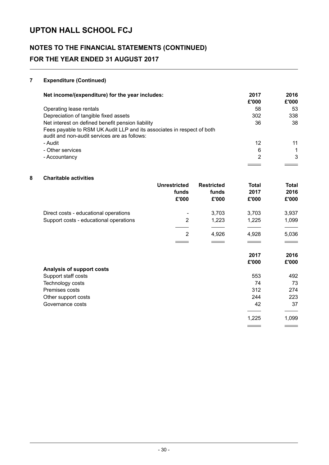## **NOTES TO THE FINANCIAL STATEMENTS (CONTINUED) FOR THE YEAR ENDED 31 AUGUST 2017**

### **7 Expenditure (Continued)**

| Net income/(expenditure) for the year includes:                                                                        | 2017<br>£'000 | 2016<br>£'000 |
|------------------------------------------------------------------------------------------------------------------------|---------------|---------------|
|                                                                                                                        |               |               |
| Operating lease rentals                                                                                                | 58            | 53            |
| Depreciation of tangible fixed assets                                                                                  | 302           | 338           |
| Net interest on defined benefit pension liability                                                                      | 36            | 38            |
| Fees payable to RSM UK Audit LLP and its associates in respect of both<br>audit and non-audit services are as follows: |               |               |
| - Audit                                                                                                                | 12            | 11            |
| - Other services                                                                                                       | 6             |               |
| - Accountancy                                                                                                          | 2             | 3             |
|                                                                                                                        |               |               |

### **8 Charitable activities**

|                                        | <b>Unrestricted</b><br>funds<br>£'000 | <b>Restricted</b><br>funds<br>£'000 | Total<br>2017<br>£'000 | <b>Total</b><br>2016<br>£'000 |
|----------------------------------------|---------------------------------------|-------------------------------------|------------------------|-------------------------------|
| Direct costs - educational operations  |                                       | 3,703                               | 3,703                  | 3,937                         |
| Support costs - educational operations | $\overline{2}$                        | 1,223                               | 1,225                  | 1,099                         |
|                                        | 2                                     | 4,926                               | 4,928                  | 5,036                         |
|                                        |                                       |                                     |                        |                               |
|                                        |                                       |                                     | 2017                   | 2016                          |
|                                        |                                       |                                     | £'000                  | £'000                         |
| Analysis of support costs              |                                       |                                     |                        |                               |
| Support staff costs                    |                                       |                                     | 553                    | 492                           |
| Technology costs                       |                                       |                                     | 74                     | 73                            |
| Premises costs                         |                                       |                                     | 312                    | 274                           |
| Other support costs                    |                                       |                                     | 244                    | 223                           |
| Governance costs                       |                                       |                                     | 42                     | 37                            |
|                                        |                                       |                                     | 1,225                  | 1,099                         |
|                                        |                                       |                                     |                        |                               |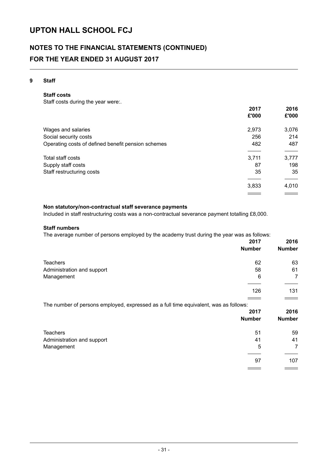## **NOTES TO THE FINANCIAL STATEMENTS (CONTINUED) FOR THE YEAR ENDED 31 AUGUST 2017**

### **9 Staff**

### **Staff costs**

Staff costs during the year were:.

|                                                    | 2017                     | 2016              |
|----------------------------------------------------|--------------------------|-------------------|
|                                                    | £'000                    | £'000             |
| Wages and salaries                                 | 2,973                    | 3,076             |
| Social security costs                              | 256                      | 214               |
| Operating costs of defined benefit pension schemes | 482                      | 487               |
| Total staff costs                                  | 3,711                    | 3,777             |
| Supply staff costs                                 | 87                       | 198               |
| Staff restructuring costs                          | 35                       | 35                |
|                                                    |                          |                   |
|                                                    | 3,833                    | 4,010             |
|                                                    | <b>Contract Contract</b> | $\equiv$ $\equiv$ |

### **Non statutory/non-contractual staff severance payments**

Included in staff restructuring costs was a non-contractual severance payment totalling £8,000.

#### **Staff numbers**

The average number of persons employed by the academy trust during the year was as follows:

|                                                                                      | 2017          | 2016           |
|--------------------------------------------------------------------------------------|---------------|----------------|
|                                                                                      | <b>Number</b> | <b>Number</b>  |
| <b>Teachers</b>                                                                      | 62            | 63             |
| Administration and support                                                           | 58            | 61             |
| Management                                                                           | 6             | 7              |
|                                                                                      | 126           | 131            |
| The number of persons employed, expressed as a full time equivalent, was as follows: |               |                |
|                                                                                      | 2017          | 2016           |
|                                                                                      | <b>Number</b> | <b>Number</b>  |
| <b>Teachers</b>                                                                      | 51            | 59             |
| Administration and support                                                           | 41            | 41             |
| Management                                                                           | 5             | $\overline{7}$ |
|                                                                                      | 97            | 107            |
|                                                                                      |               |                |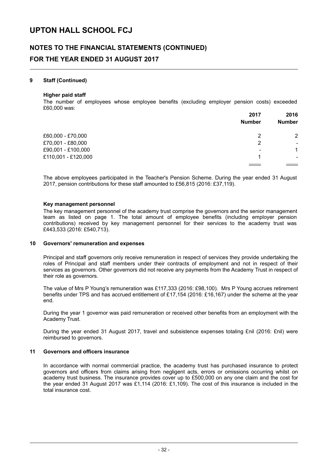### **NOTES TO THE FINANCIAL STATEMENTS (CONTINUED) FOR THE YEAR ENDED 31 AUGUST 2017**

### **9 Staff (Continued)**

#### **Higher paid staff**

The number of employees whose employee benefits (excluding employer pension costs) exceeded £60,000 was:

|                     | 2017                     | 2016                     |
|---------------------|--------------------------|--------------------------|
|                     | <b>Number</b>            | <b>Number</b>            |
| £60,000 - £70,000   | 2                        | $\overline{2}$           |
| £70,001 - £80,000   | 2                        | $\overline{\phantom{a}}$ |
| £90,001 - £100,000  | $\overline{\phantom{a}}$ | 1                        |
| £110,001 - £120,000 | и                        | $\overline{\phantom{0}}$ |
|                     |                          |                          |

The above employees participated in the Teacher's Pension Scheme. During the year ended 31 August 2017, pension contributions for these staff amounted to £56,815 (2016: £37,119).

#### **Key management personnel**

The key management personnel of the academy trust comprise the governors and the senior management team as listed on page 1. The total amount of employee benefits (including employer pension contributions) received by key management personnel for their services to the academy trust was £443,533 (2016: £540,713).

#### **10 Governors' remuneration and expenses**

Principal and staff governors only receive remuneration in respect of services they provide undertaking the roles of Principal and staff members under their contracts of employment and not in respect of their services as governors. Other governors did not receive any payments from the Academy Trust in respect of their role as governors.

The value of Mrs P Young's remuneration was £117,333 (2016: £98,100). Mrs P Young accrues retirement benefits under TPS and has accrued entitlement of £17,154 (2016: £16,167) under the scheme at the year end.

During the year 1 governor was paid remuneration or received other benefits from an employment with the Academy Trust.

During the year ended 31 August 2017, travel and subsistence expenses totaling £nil (2016: £nil) were reimbursed to governors.

### **11 Governors and officers insurance**

In accordance with normal commercial practice, the academy trust has purchased insurance to protect governors and officers from claims arising from negligent acts, errors or omissions occurring whilst on academy trust business. The insurance provides cover up to £500,000 on any one claim and the cost for the year ended 31 August 2017 was £1,114 (2016: £1,109). The cost of this insurance is included in the total insurance cost.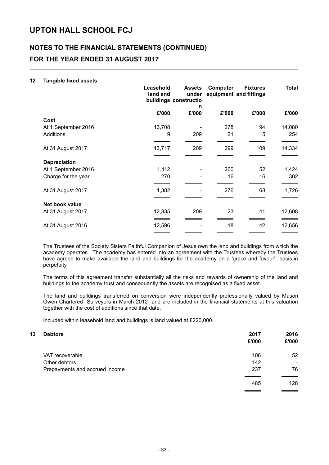### **NOTES TO THE FINANCIAL STATEMENTS (CONTINUED) FOR THE YEAR ENDED 31 AUGUST 2017**

### **12 Tangible fixed assets**

|                     | Leasehold<br>land and | <b>Assets</b><br>under<br>buildings constructio<br>n | Computer | <b>Fixtures</b><br>equipment and fittings | <b>Total</b> |
|---------------------|-----------------------|------------------------------------------------------|----------|-------------------------------------------|--------------|
|                     | £'000                 | £'000                                                | £'000    | £'000                                     | £'000        |
| Cost                |                       |                                                      |          |                                           |              |
| At 1 September 2016 | 13,708                |                                                      | 278      | 94                                        | 14,080       |
| Additions           | 9                     | 209                                                  | 21       | 15                                        | 254          |
| At 31 August 2017   | 13,717                | 209                                                  | 299      | 109                                       | 14,334       |
| <b>Depreciation</b> |                       |                                                      |          |                                           |              |
| At 1 September 2016 | 1,112                 |                                                      | 260      | 52                                        | 1,424        |
| Charge for the year | 270                   |                                                      | 16       | 16                                        | 302          |
| At 31 August 2017   | 1,382                 |                                                      | 276      | 68                                        | 1,726        |
| Net book value      |                       |                                                      |          |                                           |              |
| At 31 August 2017   | 12,335                | 209                                                  | 23       | 41                                        | 12,608       |
| At 31 August 2016   | 12,596                |                                                      | 18       | 42                                        | 12,656       |
|                     |                       |                                                      |          |                                           |              |

The Trustees of the Society Sisters Faithful Companion of Jesus own the land and buildings from which the academy operates. The academy has entered into an agreement with the Trustees whereby the Trustees have agreed to make available the land and buildings for the academy on a 'grace and favour' basis in perpetuity.

The terms of this agreement transfer substantially all the risks and rewards of ownership of the land and buildings to the academy trust and consequently the assets are recognised as a fixed asset.

The land and buildings transferred on conversion were independently professionally valued by Mason Owen Chartered Surveyors in March 2012 and are included in the financial statements at this valuation together with the cost of additions since that date.

Included within leasehold land and buildings is land valued at £220,000.

| 13 | <b>Debtors</b>                 | 2017  | 2016                     |
|----|--------------------------------|-------|--------------------------|
|    |                                | £'000 | £'000                    |
|    | VAT recoverable                | 106   | 52                       |
|    | Other debtors                  | 142   | $\overline{\phantom{0}}$ |
|    | Prepayments and accrued income | 237   | 76                       |
|    |                                | 485   | 128                      |
|    |                                |       |                          |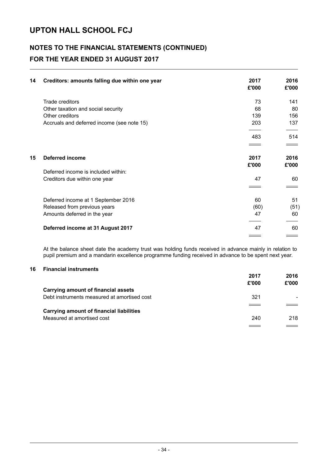### **NOTES TO THE FINANCIAL STATEMENTS (CONTINUED) FOR THE YEAR ENDED 31 AUGUST 2017**

| 14 | Creditors: amounts falling due within one year | 2017<br>£'000 | 2016<br>£'000 |
|----|------------------------------------------------|---------------|---------------|
|    | Trade creditors                                | 73            | 141           |
|    | Other taxation and social security             | 68            | 80            |
|    | Other creditors                                | 139           | 156           |
|    | Accruals and deferred income (see note 15)     | 203           | 137           |
|    |                                                | 483           | 514           |
|    |                                                |               |               |
| 15 | Deferred income                                | 2017          | 2016          |
|    |                                                | £'000         | £'000         |
|    | Deferred income is included within:            |               |               |
|    | Creditors due within one year                  | 47            | 60            |
|    |                                                |               |               |
|    | Deferred income at 1 September 2016            | 60            | 51            |
|    | Released from previous years                   | (60)          | (51)          |
|    | Amounts deferred in the year                   | 47            | 60            |
|    | Deferred income at 31 August 2017              | 47            | 60            |
|    |                                                |               |               |

At the balance sheet date the academy trust was holding funds received in advance mainly in relation to pupil premium and a mandarin excellence programme funding received in advance to be spent next year.

### **16 Financial instruments**

|                                                 | 2017  | 2016  |
|-------------------------------------------------|-------|-------|
|                                                 | £'000 | £'000 |
| <b>Carrying amount of financial assets</b>      |       |       |
| Debt instruments measured at amortised cost     | 321   |       |
|                                                 |       |       |
| <b>Carrying amount of financial liabilities</b> |       |       |
| Measured at amortised cost                      | 240   | 218   |
|                                                 |       |       |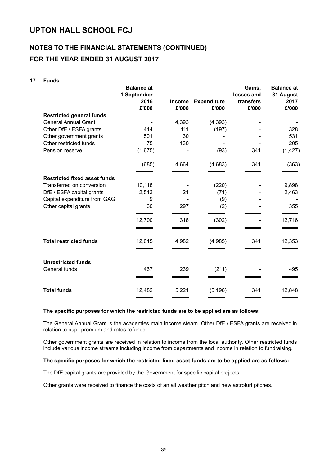## **NOTES TO THE FINANCIAL STATEMENTS (CONTINUED) FOR THE YEAR ENDED 31 AUGUST 2017**

| 17 | <b>Funds</b>                        |                                  |                        |                             |                      |                                |
|----|-------------------------------------|----------------------------------|------------------------|-----------------------------|----------------------|--------------------------------|
|    |                                     | <b>Balance at</b><br>1 September |                        |                             | Gains,<br>losses and | <b>Balance at</b><br>31 August |
|    |                                     | 2016<br>£'000                    | <b>Income</b><br>£'000 | <b>Expenditure</b><br>£'000 | transfers<br>£'000   | 2017<br>£'000                  |
|    | <b>Restricted general funds</b>     |                                  |                        |                             |                      |                                |
|    | <b>General Annual Grant</b>         |                                  | 4,393                  | (4, 393)                    |                      |                                |
|    | Other DfE / ESFA grants             | 414                              | 111                    | (197)                       |                      | 328                            |
|    | Other government grants             | 501                              | 30                     |                             |                      | 531                            |
|    | Other restricted funds              | 75                               | 130                    |                             |                      | 205                            |
|    | Pension reserve                     | (1,675)                          |                        | (93)                        | 341                  | (1, 427)                       |
|    |                                     | (685)                            | 4,664                  | (4,683)                     | 341                  | (363)                          |
|    | <b>Restricted fixed asset funds</b> |                                  |                        |                             |                      |                                |
|    | Transferred on conversion           | 10,118                           |                        | (220)                       |                      | 9,898                          |
|    | DfE / ESFA capital grants           | 2,513                            | 21                     | (71)                        |                      | 2,463                          |
|    | Capital expenditure from GAG        | 9                                |                        | (9)                         |                      |                                |
|    | Other capital grants                | 60                               | 297                    | (2)                         |                      | 355                            |
|    |                                     | 12,700                           | 318                    | (302)                       |                      | 12,716                         |
|    | <b>Total restricted funds</b>       | 12,015                           | 4,982                  | (4,985)                     | 341                  | 12,353                         |
|    |                                     |                                  |                        |                             |                      |                                |
|    | <b>Unrestricted funds</b>           |                                  |                        |                             |                      |                                |
|    | General funds                       | 467                              | 239                    | (211)                       |                      | 495                            |
|    |                                     |                                  |                        |                             |                      |                                |
|    | <b>Total funds</b>                  | 12,482                           | 5,221                  | (5, 196)                    | 341                  | 12,848                         |
|    |                                     |                                  |                        |                             |                      |                                |

### **The specific purposes for which the restricted funds are to be applied are as follows:**

The General Annual Grant is the academies main income steam. Other DfE / ESFA grants are received in relation to pupil premium and rates refunds.

Other government grants are received in relation to income from the local authority. Other restricted funds include various income streams including income from departments and income in relation to fundraising.

### **The specific purposes for which the restricted fixed asset funds are to be applied are as follows:**

The DfE capital grants are provided by the Government for specific capital projects.

Other grants were received to finance the costs of an all weather pitch and new astroturf pitches.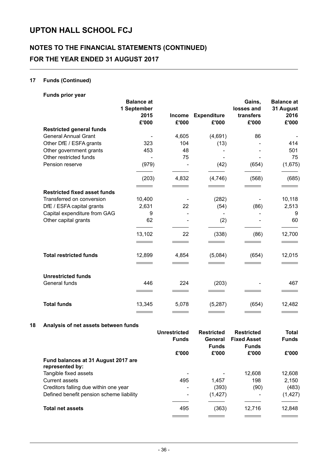## **NOTES TO THE FINANCIAL STATEMENTS (CONTINUED) FOR THE YEAR ENDED 31 AUGUST 2017**

### **17 Funds (Continued)**

| Funds prior year                    |                                          |               |                    |                                   |                                        |
|-------------------------------------|------------------------------------------|---------------|--------------------|-----------------------------------|----------------------------------------|
|                                     | <b>Balance at</b><br>1 September<br>2015 | <b>Income</b> | <b>Expenditure</b> | Gains,<br>losses and<br>transfers | <b>Balance at</b><br>31 August<br>2016 |
|                                     | £'000                                    | £'000         | £'000              | £'000                             | £'000                                  |
| <b>Restricted general funds</b>     |                                          |               |                    |                                   |                                        |
| <b>General Annual Grant</b>         |                                          | 4,605         | (4,691)            | 86                                |                                        |
| Other DfE / ESFA grants             | 323                                      | 104           | (13)               |                                   | 414                                    |
| Other government grants             | 453                                      | 48            |                    |                                   | 501                                    |
| Other restricted funds              |                                          | 75            |                    |                                   | 75                                     |
| Pension reserve                     | (979)                                    |               | (42)               | (654)                             | (1,675)                                |
|                                     | (203)                                    | 4,832         | (4,746)            | (568)                             | (685)                                  |
|                                     |                                          |               |                    |                                   |                                        |
| <b>Restricted fixed asset funds</b> |                                          |               |                    |                                   |                                        |
| Transferred on conversion           | 10,400                                   |               | (282)              |                                   | 10,118                                 |
| DfE / ESFA capital grants           | 2,631                                    | 22            | (54)               | (86)                              | 2,513                                  |
| Capital expenditure from GAG        | 9                                        |               |                    |                                   | 9                                      |
| Other capital grants                | 62                                       |               | (2)                |                                   | 60                                     |
|                                     | 13,102                                   | 22            | (338)              | (86)                              | 12,700                                 |
|                                     |                                          |               |                    |                                   |                                        |
| <b>Total restricted funds</b>       | 12,899                                   | 4,854         | (5,084)            | (654)                             | 12,015                                 |
|                                     | $\overline{\phantom{a}}$                 |               |                    |                                   |                                        |
| <b>Unrestricted funds</b>           |                                          |               |                    |                                   |                                        |
| General funds                       | 446                                      | 224           | (203)              |                                   | 467                                    |
|                                     |                                          |               |                    |                                   |                                        |
| <b>Total funds</b>                  | 13,345                                   | 5,078         | (5,287)            | (654)                             | 12,482                                 |
|                                     |                                          |               |                    |                                   |                                        |

### **18 Analysis of net assets between funds**

|                                                        | <b>Unrestricted</b><br><b>Funds</b> | <b>Restricted</b><br>General<br><b>Funds</b> | <b>Restricted</b><br><b>Fixed Asset</b><br><b>Funds</b> | <b>Total</b><br><b>Funds</b> |
|--------------------------------------------------------|-------------------------------------|----------------------------------------------|---------------------------------------------------------|------------------------------|
|                                                        | £'000                               | £'000                                        | £'000                                                   | £'000                        |
| Fund balances at 31 August 2017 are<br>represented by: |                                     |                                              |                                                         |                              |
| Tangible fixed assets                                  |                                     |                                              | 12,608                                                  | 12,608                       |
| Current assets                                         | 495                                 | 1.457                                        | 198                                                     | 2,150                        |
| Creditors falling due within one year                  | ۰                                   | (393)                                        | (90)                                                    | (483)                        |
| Defined benefit pension scheme liability               | -                                   | (1, 427)                                     |                                                         | (1, 427)                     |
| <b>Total net assets</b>                                | 495                                 | (363)                                        | 12,716                                                  | 12,848                       |
|                                                        |                                     |                                              |                                                         |                              |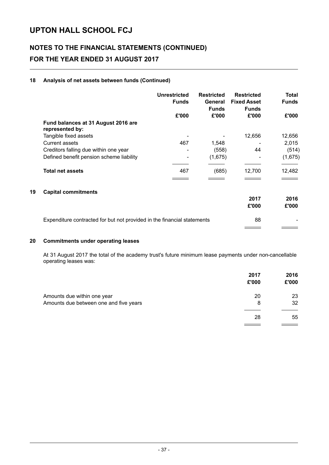## **NOTES TO THE FINANCIAL STATEMENTS (CONTINUED) FOR THE YEAR ENDED 31 AUGUST 2017**

### **18 Analysis of net assets between funds (Continued)**

|    |                                                                         | <b>Unrestricted</b><br><b>Funds</b> | <b>Restricted</b><br>General<br><b>Funds</b> | <b>Restricted</b><br><b>Fixed Asset</b><br><b>Funds</b> | Total<br><b>Funds</b> |
|----|-------------------------------------------------------------------------|-------------------------------------|----------------------------------------------|---------------------------------------------------------|-----------------------|
|    |                                                                         | £'000                               | £'000                                        | £'000                                                   | £'000                 |
|    | Fund balances at 31 August 2016 are<br>represented by:                  |                                     |                                              |                                                         |                       |
|    | Tangible fixed assets                                                   |                                     |                                              | 12,656                                                  | 12,656                |
|    | Current assets                                                          | 467                                 | 1,548                                        |                                                         | 2,015                 |
|    | Creditors falling due within one year                                   |                                     | (558)                                        | 44                                                      | (514)                 |
|    | Defined benefit pension scheme liability                                |                                     | (1,675)                                      |                                                         | (1,675)               |
|    | <b>Total net assets</b>                                                 | 467                                 | (685)                                        | 12,700                                                  | 12,482                |
| 19 | <b>Capital commitments</b>                                              |                                     |                                              |                                                         |                       |
|    |                                                                         |                                     |                                              | 2017                                                    | 2016                  |
|    |                                                                         |                                     |                                              | £'000                                                   | £'000                 |
|    | Expenditure contracted for but not provided in the financial statements |                                     |                                              | 88                                                      |                       |
|    |                                                                         |                                     |                                              |                                                         |                       |

### **20 Commitments under operating leases**

At 31 August 2017 the total of the academy trust's future minimum lease payments under non-cancellable operating leases was:

|                                        | 2017<br>£'000 | 2016<br>£'000 |
|----------------------------------------|---------------|---------------|
| Amounts due within one year            | 20            | 23            |
| Amounts due between one and five years | 8             | 32            |
|                                        | 28            | 55            |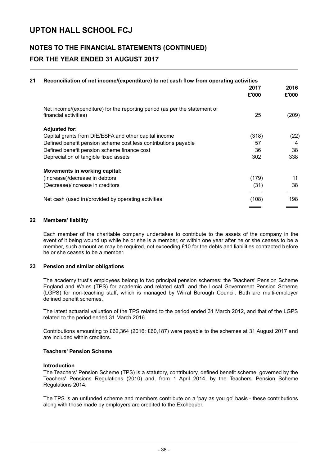### **NOTES TO THE FINANCIAL STATEMENTS (CONTINUED) FOR THE YEAR ENDED 31 AUGUST 2017**

| 21 | Reconciliation of net income/(expenditure) to net cash flow from operating activities               | 2017<br>£'000 | 2016<br>£'000 |
|----|-----------------------------------------------------------------------------------------------------|---------------|---------------|
|    | Net income/(expenditure) for the reporting period (as per the statement of<br>financial activities) | 25            | (209)         |
|    | <b>Adjusted for:</b>                                                                                |               |               |
|    | Capital grants from DfE/ESFA and other capital income                                               | (318)         | (22)          |
|    | Defined benefit pension scheme cost less contributions payable                                      | 57            | 4             |
|    | Defined benefit pension scheme finance cost                                                         | 36            | 38            |
|    | Depreciation of tangible fixed assets                                                               | 302           | 338           |
|    | <b>Movements in working capital:</b>                                                                |               |               |
|    | (Increase)/decrease in debtors                                                                      | (179)         | 11            |
|    | (Decrease)/increase in creditors                                                                    | (31)          | 38            |
|    | Net cash (used in)/provided by operating activities                                                 | (108)         | 198           |
|    |                                                                                                     |               |               |

### **22 Members' liability**

Each member of the charitable company undertakes to contribute to the assets of the company in the event of it being wound up while he or she is a member, or within one year after he or she ceases to be a member, such amount as may be required, not exceeding £10 for the debts and liabilities contracted before he or she ceases to be a member.

#### **23 Pension and similar obligations**

The academy trust's employees belong to two principal pension schemes: the Teachers' Pension Scheme England and Wales (TPS) for academic and related staff; and the Local Government Pension Scheme (LGPS) for non-teaching staff, which is managed by Wirral Borough Council. Both are multi-employer defined benefit schemes.

The latest actuarial valuation of the TPS related to the period ended 31 March 2012, and that of the LGPS related to the period ended 31 March 2016.

Contributions amounting to £62,364 (2016: £60,187) were payable to the schemes at 31 August 2017 and are included within creditors.

### **Teachers' Pension Scheme**

### **Introduction**

The Teachers' Pension Scheme (TPS) is a statutory, contributory, defined benefit scheme, governed by the Teachers' Pensions Regulations (2010) and, from 1 April 2014, by the Teachers' Pension Scheme Regulations 2014.

The TPS is an unfunded scheme and members contribute on a 'pay as you go' basis - these contributions along with those made by employers are credited to the Exchequer.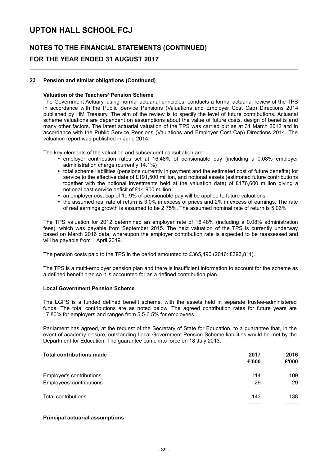### **NOTES TO THE FINANCIAL STATEMENTS (CONTINUED) FOR THE YEAR ENDED 31 AUGUST 2017**

### **23 Pension and similar obligations (Continued)**

#### **Valuation of the Teachers' Pension Scheme**

The Government Actuary, using normal actuarial principles, conducts a formal actuarial review of the TPS in accordance with the Public Service Pensions (Valuations and Employer Cost Cap) Directions 2014 published by HM Treasury. The aim of the review is to specify the level of future contributions. Actuarial scheme valuations are dependent on assumptions about the value of future costs, design of benefits and many other factors. The latest actuarial valuation of the TPS was carried out as at 31 March 2012 and in accordance with the Public Service Pensions (Valuations and Employer Cost Cap) Directions 2014. The valuation report was published in June 2014.

The key elements of the valuation and subsequent consultation are:

- employer contribution rates set at 16.48% of pensionable pay (including a 0.08% employer administration charge (currently 14.1%)
- total scheme liabilities (pensions currently in payment and the estimated cost of future benefits) for service to the effective date of £191,500 million, and notional assets (estimated future contributions together with the notional investments held at the valuation date) of £176,600 million giving a notional past service deficit of £14,900 million
- an employer cost cap of 10.9% of pensionable pay will be applied to future valuations
- the assumed real rate of return is 3.0% in excess of prices and 2% in excess of earnings. The rate of real earnings growth is assumed to be 2.75%. The assumed nominal rate of return is 5.06%

The TPS valuation for 2012 determined an employer rate of 16.48% (including a 0.08% administration fees), which was payable from September 2015. The next valuation of the TPS is currently underway based on March 2016 data, whereupon the employer contribution rate is expected to be reassessed and will be payable from 1 April 2019.

The pension costs paid to the TPS in the period amounted to £365,490 (2016: £393,811).

The TPS is a multi-employer pension plan and there is insufficient information to account for the scheme as a defined benefit plan so it is accounted for as a defined contribution plan.

### **Local Government Pension Scheme**

The LGPS is a funded defined benefit scheme, with the assets held in separate trustee-administered funds. The total contributions are as noted below. The agreed contribution rates for future years are 17.80% for employers and ranges from 5.5-6.5% for employees.

Parliament has agreed, at the request of the Secretary of State for Education, to a guarantee that, in the event of academy closure, outstanding Local Government Pension Scheme liabilities would be met by the Department for Education. The guarantee came into force on 18 July 2013.

| <b>Total contributions made</b> | 2017<br>£'000 | 2016<br>£'000 |
|---------------------------------|---------------|---------------|
| Employer's contributions        | 114           | 109           |
| Employees' contributions        | 29            | 29            |
| Total contributions             | 143           | 138           |
|                                 |               |               |

### **Principal actuarial assumptions**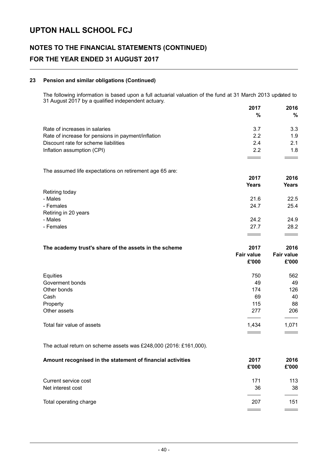## **NOTES TO THE FINANCIAL STATEMENTS (CONTINUED) FOR THE YEAR ENDED 31 AUGUST 2017**

### **23 Pension and similar obligations (Continued)**

The following information is based upon a full actuarial valuation of the fund at 31 March 2013 updated to 31 August 2017 by a qualified independent actuary. **2017 2016**

|                                                    | ZU 17<br>% | 2016<br>% |
|----------------------------------------------------|------------|-----------|
|                                                    |            |           |
| Rate of increases in salaries                      | 3.7        | 3.3       |
| Rate of increase for pensions in payment/inflation | 2.2        | 1.9       |
| Discount rate for scheme liabilities               | 24         | 2.1       |
| Inflation assumption (CPI)                         | 2.2        | 1.8       |
|                                                    |            |           |

The assumed life expectations on retirement age 65 are:

|                      | 2017         | 2016<br><b>Years</b> |
|----------------------|--------------|----------------------|
|                      | <b>Years</b> |                      |
| Retiring today       |              |                      |
| - Males              | 21.6         | 22.5                 |
| - Females            | 24.7         | 25.4                 |
| Retiring in 20 years |              |                      |
| - Males              | 24.2         | 24.9                 |
| - Females            | 27.7         | 28.2                 |
|                      |              |                      |

| The academy trust's share of the assets in the scheme | 2017<br><b>Fair value</b><br>£'000 | 2016<br><b>Fair value</b><br>£'000 |
|-------------------------------------------------------|------------------------------------|------------------------------------|
| Equities                                              | 750                                | 562                                |
| Goverment bonds                                       | 49                                 | 49                                 |
| Other bonds                                           | 174                                | 126                                |
| Cash                                                  | 69                                 | 40                                 |
| Property                                              | 115                                | 88                                 |
| Other assets                                          | 277                                | 206                                |
| Total fair value of assets                            | 1,434                              | 1,071                              |
|                                                       |                                    |                                    |

The actual return on scheme assets was £248,000 (2016: £161,000).

| Amount recognised in the statement of financial activities | 2017<br>£'000 | 2016<br>£'000 |
|------------------------------------------------------------|---------------|---------------|
| Current service cost                                       | 171           | 113           |
| Net interest cost                                          | 36            | 38            |
|                                                            |               |               |
| Total operating charge                                     | 207           | 151           |
|                                                            |               |               |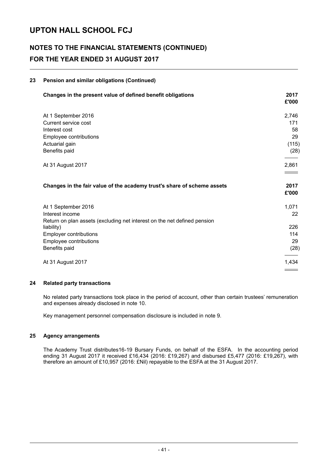## **NOTES TO THE FINANCIAL STATEMENTS (CONTINUED) FOR THE YEAR ENDED 31 AUGUST 2017**

### **23 Pension and similar obligations (Continued)**

| Changes in the present value of defined benefit obligations              | 2017<br>£'000 |
|--------------------------------------------------------------------------|---------------|
| At 1 September 2016                                                      | 2,746         |
| Current service cost                                                     | 171           |
| Interest cost                                                            | 58            |
| Employee contributions                                                   | 29            |
| Actuarial gain                                                           | (115)         |
| Benefits paid                                                            | (28)          |
| At 31 August 2017                                                        | 2,861         |
|                                                                          |               |
| Changes in the fair value of the academy trust's share of scheme assets  | 2017          |
|                                                                          | £'000         |
| At 1 September 2016                                                      | 1,071         |
| Interest income                                                          | 22            |
| Return on plan assets (excluding net interest on the net defined pension |               |
| liability)                                                               | 226           |
| <b>Employer contributions</b>                                            | 114           |
| Employee contributions                                                   | 29            |
| Benefits paid                                                            | (28)          |
| At 31 August 2017                                                        | 1,434         |

### **24 Related party transactions**

No related party transactions took place in the period of account, other than certain trustees' remuneration and expenses already disclosed in note 10.

Key management personnel compensation disclosure is included in note 9.

### **25 Agency arrangements**

The Academy Trust distributes16-19 Bursary Funds, on behalf of the ESFA. In the accounting period ending 31 August 2017 it received £16,434 (2016: £19,267) and disbursed £5,477 (2016: £19,267), with therefore an amount of £10,957 (2016: £Nil) repayable to the ESFA at the 31 August 2017.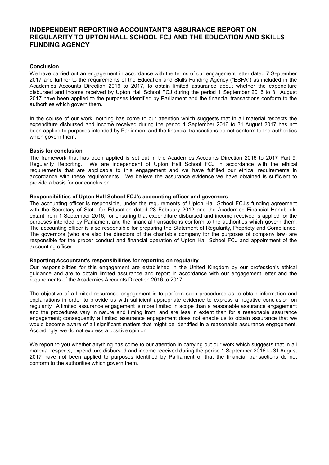### **INDEPENDENT REPORTING ACCOUNTANT'S ASSURANCE REPORT ON REGULARITY TO UPTON HALL SCHOOL FCJ AND THE EDUCATION AND SKILLS FUNDING AGENCY**

### **Conclusion**

We have carried out an engagement in accordance with the terms of our engagement letter dated 7 September 2017 and further to the requirements of the Education and Skills Funding Agency ("ESFA") as included in the Academies Accounts Direction 2016 to 2017, to obtain limited assurance about whether the expenditure disbursed and income received by Upton Hall School FCJ during the period 1 September 2016 to 31 August 2017 have been applied to the purposes identified by Parliament and the financial transactions conform to the authorities which govern them.

In the course of our work, nothing has come to our attention which suggests that in all material respects the expenditure disbursed and income received during the period 1 September 2016 to 31 August 2017 has not been applied to purposes intended by Parliament and the financial transactions do not conform to the authorities which govern them.

#### **Basis for conclusion**

The framework that has been applied is set out in the Academies Accounts Direction 2016 to 2017 Part 9: Regularity Reporting. We are independent of Upton Hall School FCJ in accordance with the ethical requirements that are applicable to this engagement and we have fulfilled our ethical requirements in accordance with these requirements. We believe the assurance evidence we have obtained is sufficient to provide a basis for our conclusion.

#### **Responsibilities of Upton Hall School FCJ's accounting officer and governors**

The accounting officer is responsible, under the requirements of Upton Hall School FCJ's funding agreement with the Secretary of State for Education dated 28 February 2012 and the Academies Financial Handbook, extant from 1 September 2016, for ensuring that expenditure disbursed and income received is applied for the purposes intended by Parliament and the financial transactions conform to the authorities which govern them. The accounting officer is also responsible for preparing the Statement of Regularity, Propriety and Compliance. The governors (who are also the directors of the charitable company for the purposes of company law) are responsible for the proper conduct and financial operation of Upton Hall School FCJ and appointment of the accounting officer.

#### **Reporting Accountant's responsibilities for reporting on regularity**

Our responsibilities for this engagement are established in the United Kingdom by our profession's ethical guidance and are to obtain limited assurance and report in accordance with our engagement letter and the requirements of the Academies Accounts Direction 2016 to 2017.

The objective of a limited assurance engagement is to perform such procedures as to obtain information and explanations in order to provide us with sufficient appropriate evidence to express a negative conclusion on regularity. A limited assurance engagement is more limited in scope than a reasonable assurance engagement and the procedures vary in nature and timing from, and are less in extent than for a reasonable assurance engagement; consequently a limited assurance engagement does not enable us to obtain assurance that we would become aware of all significant matters that might be identified in a reasonable assurance engagement. Accordingly, we do not express a positive opinion.

We report to you whether anything has come to our attention in carrying out our work which suggests that in all material respects, expenditure disbursed and income received during the period 1 September 2016 to 31 August 2017 have not been applied to purposes identified by Parliament or that the financial transactions do not conform to the authorities which govern them.